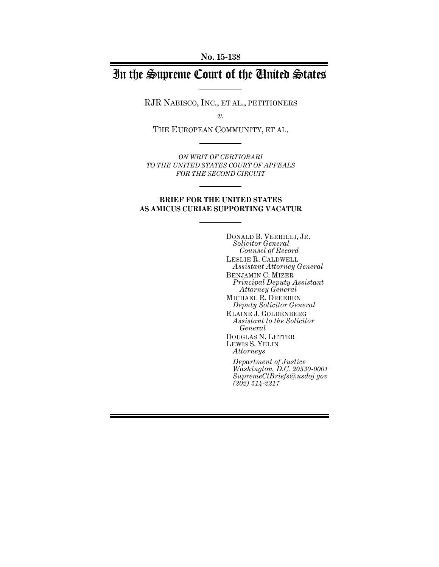# In the Supreme Court of the United States

RJR NABISCO, INC., ET AL., PETITIONERS

*v.*

THE EUROPEAN COMMUNITY, ET AL.

*ON WRIT OF CERTIORARI TO THE UNITED STATES COURT OF APPEALS FOR THE SECOND CIRCUIT*

### **BRIEF FOR THE UNITED STATES AS AMICUS CURIAE SUPPORTING VACATUR**

DONALD B. VERRILLI, JR. *Solicitor General Counsel of Record* LESLIE R. CALDWELL *Assistant Attorney General* BENJAMIN C. MIZER *Principal Deputy Assistant Attorney General* MICHAEL R. DREEBEN *Deputy Solicitor General* ELAINE J. GOLDENBERG *Assistant to the Solicitor General* DOUGLAS N. LETTER LEWIS S. YELIN *Attorneys*

*Department of Justice Washington, D.C. 20530-0001 SupremeCtBriefs@usdoj.gov (202) 514-2217*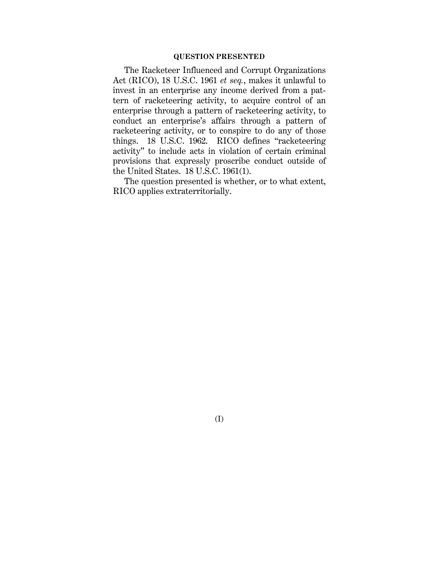### **QUESTION PRESENTED**

The Racketeer Influenced and Corrupt Organizations Act (RICO), 18 U.S.C. 1961 *et seq.*, makes it unlawful to invest in an enterprise any income derived from a pattern of racketeering activity, to acquire control of an enterprise through a pattern of racketeering activity, to conduct an enterprise's affairs through a pattern of racketeering activity, or to conspire to do any of those things. 18 U.S.C. 1962. RICO defines "racketeering activity" to include acts in violation of certain criminal provisions that expressly proscribe conduct outside of the United States. 18 U.S.C. 1961(1).

The question presented is whether, or to what extent, RICO applies extraterritorially.

(I)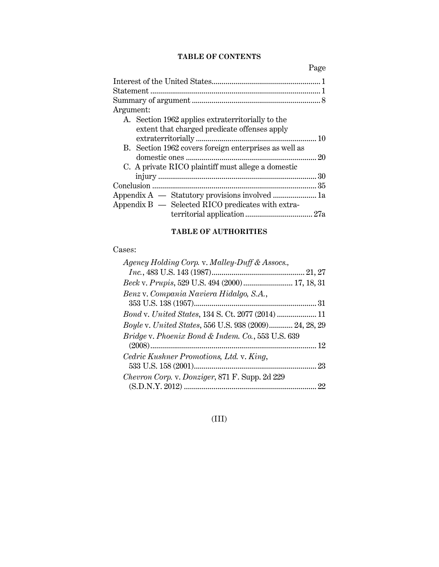### **TABLE OF CONTENTS**

Page

| Argument:                                             |    |
|-------------------------------------------------------|----|
| A. Section 1962 applies extraterritorially to the     |    |
| extent that charged predicate offenses apply          |    |
|                                                       |    |
| B. Section 1962 covers foreign enterprises as well as |    |
|                                                       | 20 |
| C. A private RICO plaintiff must allege a domestic    |    |
|                                                       |    |
|                                                       |    |
|                                                       |    |
| Appendix $B -$ Selected RICO predicates with extra-   |    |
|                                                       |    |

### **TABLE OF AUTHORITIES**

## Cases:

| Agency Holding Corp. v. Malley-Duff & Assocs.,         |    |
|--------------------------------------------------------|----|
|                                                        |    |
| Beck v. Prupis, 529 U.S. 494 (2000) 17, 18, 31         |    |
| Benz v. Compania Naviera Hidalgo, S.A.,                |    |
|                                                        |    |
|                                                        |    |
| Boyle v. United States, 556 U.S. 938 (2009) 24, 28, 29 |    |
| Bridge v. Phoenix Bond & Indem. Co., 553 U.S. 639      |    |
|                                                        |    |
| Cedric Kushner Promotions, Ltd. v. King,               |    |
|                                                        | 23 |
| Chevron Corp. v. Donziger, 871 F. Supp. 2d 229         |    |
|                                                        | 22 |

## (III)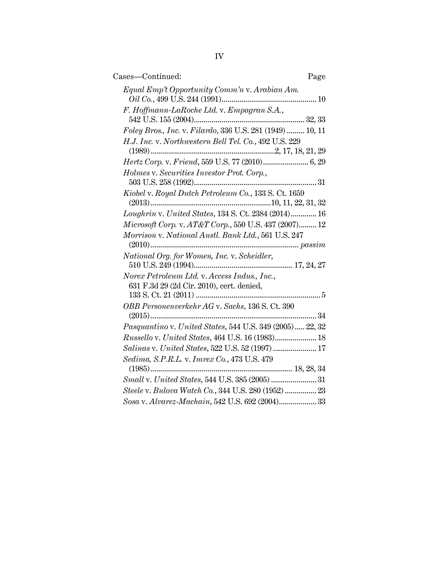| Cases-Continued:                                                                          | Page |
|-------------------------------------------------------------------------------------------|------|
| Equal Emp't Opportunity Comm'n v. Arabian Am.                                             |      |
| F. Hoffmann-LaRoche Ltd. v. Empagran S.A.,                                                |      |
| Foley Bros., Inc. v. Filardo, 336 U.S. 281 (1949)  10, 11                                 |      |
| H.J. Inc. v. Northwestern Bell Tel. Co., 492 U.S. 229                                     |      |
|                                                                                           |      |
| Holmes v. Securities Investor Prot. Corp.,                                                |      |
| Kiobel v. Royal Dutch Petroleum Co., 133 S. Ct. 1659                                      |      |
| Loughrin v. United States, 134 S. Ct. 2384 (2014) 16                                      |      |
| Microsoft Corp. v. AT&T Corp., 550 U.S. 437 (2007) 12                                     |      |
| Morrison v. National Austl. Bank Ltd., 561 U.S. 247<br>$(2010)$                           |      |
| National Org. for Women, Inc. v. Scheidler,                                               |      |
| Norex Petroleum Ltd. v. Access Indus., Inc.,<br>631 F.3d 29 (2d Cir. 2010), cert. denied, |      |
|                                                                                           |      |
| OBB Personenverkehr AG v. Sachs, 136 S. Ct. 390                                           |      |
|                                                                                           |      |
| <i>Pasquantino v. United States, 544 U.S. 349 (2005)  22, 32</i>                          |      |
| Russello v. United States, 464 U.S. 16 (1983) 18                                          |      |
| Salinas v. United States, 522 U.S. 52 (1997) 17                                           |      |
| Sedima, S.P.R.L. v. Imrex Co., 473 U.S. 479                                               |      |
| <i>Small v. United States, 544 U.S. 385 (2005) </i> 31                                    |      |
| Steele v. Bulova Watch Co., 344 U.S. 280 (1952)  23                                       |      |
| Sosa v. Alvarez-Machain, 542 U.S. 692 (2004) 33                                           |      |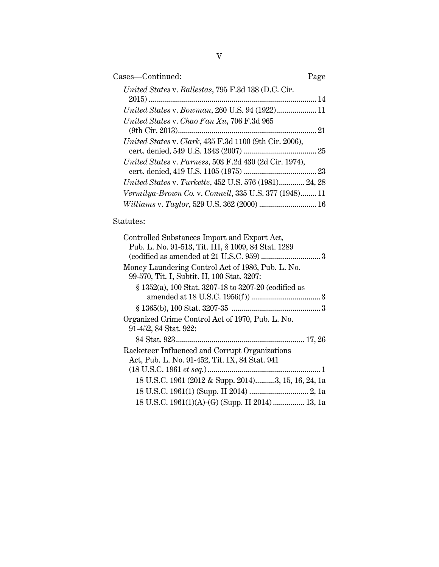| Cases-Continued:                                       | Page |
|--------------------------------------------------------|------|
| United States v. Ballestas, 795 F.3d 138 (D.C. Cir.    |      |
| United States v. Bowman, 260 U.S. 94 (1922) 11         |      |
| United States v. Chao Fan Xu, 706 F.3d 965             | 21   |
| United States v. Clark, 435 F.3d 1100 (9th Cir. 2006), |      |
| United States v. Parness, 503 F.2d 430 (2d Cir. 1974), |      |
| United States v. Turkette, 452 U.S. 576 (1981) 24, 28  |      |
| Vermilya-Brown Co. v. Connell, 335 U.S. 377 (1948) 11  |      |
| Williams v. Taylor, 529 U.S. 362 (2000)  16            |      |

## Statutes:

| Controlled Substances Import and Export Act,         |  |
|------------------------------------------------------|--|
| Pub. L. No. 91-513, Tit. III, § 1009, 84 Stat. 1289  |  |
|                                                      |  |
| Money Laundering Control Act of 1986, Pub. L. No.    |  |
| 99-570, Tit. I, Subtit. H, 100 Stat. 3207:           |  |
| § 1352(a), 100 Stat. 3207-18 to 3207-20 (codified as |  |
|                                                      |  |
|                                                      |  |
| Organized Crime Control Act of 1970, Pub. L. No.     |  |
| 91-452, 84 Stat. 922:                                |  |
|                                                      |  |
| Racketeer Influenced and Corrupt Organizations       |  |
| Act, Pub. L. No. 91-452, Tit. IX, 84 Stat. 941       |  |
|                                                      |  |
| 18 U.S.C. 1961 (2012 & Supp. 2014)3, 15, 16, 24, 1a  |  |
|                                                      |  |
| 18 U.S.C. 1961(1)(A)-(G) (Supp. II 2014)  13, 1a     |  |
|                                                      |  |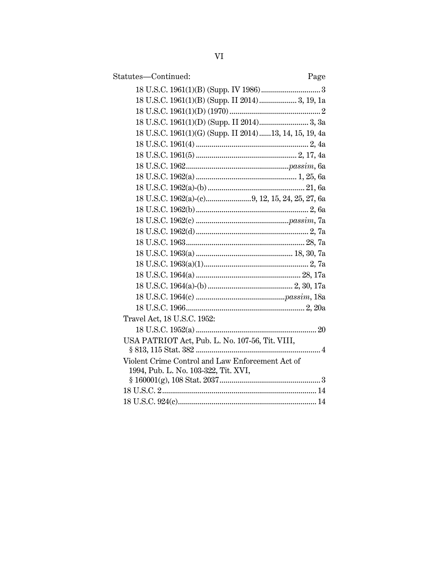| Statutes-Continued:<br>Page                            |
|--------------------------------------------------------|
|                                                        |
|                                                        |
|                                                        |
|                                                        |
| 18 U.S.C. 1961(1)(G) (Supp. II 2014)13, 14, 15, 19, 4a |
|                                                        |
|                                                        |
|                                                        |
|                                                        |
|                                                        |
|                                                        |
|                                                        |
|                                                        |
|                                                        |
|                                                        |
|                                                        |
|                                                        |
|                                                        |
|                                                        |
|                                                        |
|                                                        |
| Travel Act, 18 U.S.C. 1952:                            |
|                                                        |
| USA PATRIOT Act, Pub. L. No. 107-56, Tit. VIII,        |
|                                                        |
| Violent Crime Control and Law Enforcement Act of       |
| 1994, Pub. L. No. 103-322, Tit. XVI,                   |
|                                                        |
|                                                        |
|                                                        |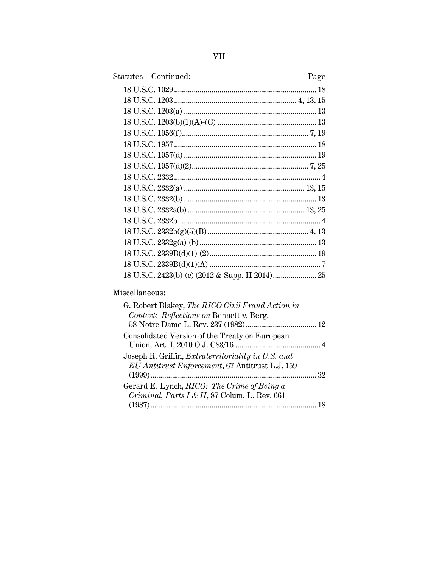| Statutes-Continued: | Page |
|---------------------|------|
|                     |      |
|                     |      |
|                     |      |
|                     |      |
|                     |      |
|                     |      |
|                     |      |
|                     |      |
|                     |      |
|                     |      |
|                     |      |
|                     |      |
|                     |      |
|                     |      |
|                     |      |
|                     |      |
|                     |      |
|                     |      |

## Miscellaneous: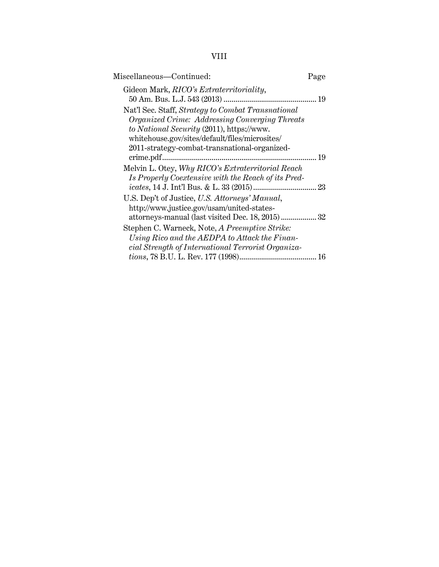|--|

| Miscellaneous-Continued:                                                                                                                                                                                                                             | Page |
|------------------------------------------------------------------------------------------------------------------------------------------------------------------------------------------------------------------------------------------------------|------|
| Gideon Mark, RICO's Extraterritoriality,                                                                                                                                                                                                             |      |
| Nat'l Sec. Staff, Strategy to Combat Transnational<br>Organized Crime: Addressing Converging Threats<br>to National Security (2011), https://www.<br>whitehouse.gov/sites/default/files/microsites/<br>2011-strategy-combat-transnational-organized- |      |
|                                                                                                                                                                                                                                                      | . 19 |
| Melvin L. Otey, Why RICO's Extraterritorial Reach<br>Is Properly Coextensive with the Reach of its Pred-                                                                                                                                             |      |
| U.S. Dep't of Justice, U.S. Attorneys' Manual,<br>http://www.justice.gov/usam/united-states-<br>attorneys-manual (last visited Dec. 18, 2015) 32                                                                                                     |      |
| Stephen C. Warneck, Note, A Preemptive Strike:<br>Using Rico and the AEDPA to Attack the Finan-<br>cial Strength of International Terrorist Organiza-                                                                                                |      |
|                                                                                                                                                                                                                                                      | 16   |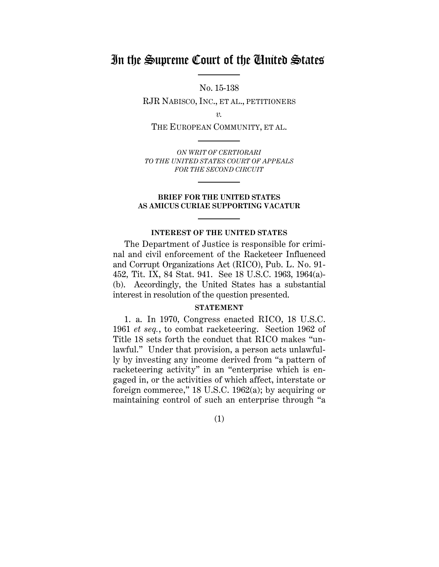## In the Supreme Court of the United States

No. 15-138

RJR NABISCO, INC., ET AL., PETITIONERS

*v.*

THE EUROPEAN COMMUNITY, ET AL.

*ON WRIT OF CERTIORARI TO THE UNITED STATES COURT OF APPEALS FOR THE SECOND CIRCUIT*

### **BRIEF FOR THE UNITED STATES AS AMICUS CURIAE SUPPORTING VACATUR**

### **INTEREST OF THE UNITED STATES**

The Department of Justice is responsible for criminal and civil enforcement of the Racketeer Influenced and Corrupt Organizations Act (RICO), Pub. L. No. 91- 452, Tit. IX, 84 Stat. 941. See 18 U.S.C. 1963, 1964(a)- (b). Accordingly, the United States has a substantial interest in resolution of the question presented.

### **STATEMENT**

1. a. In 1970, Congress enacted RICO, 18 U.S.C. 1961 *et seq.*, to combat racketeering. Section 1962 of Title 18 sets forth the conduct that RICO makes "unlawful." Under that provision, a person acts unlawfully by investing any income derived from "a pattern of racketeering activity" in an "enterprise which is engaged in, or the activities of which affect, interstate or foreign commerce," 18 U.S.C. 1962(a); by acquiring or maintaining control of such an enterprise through "a

(1)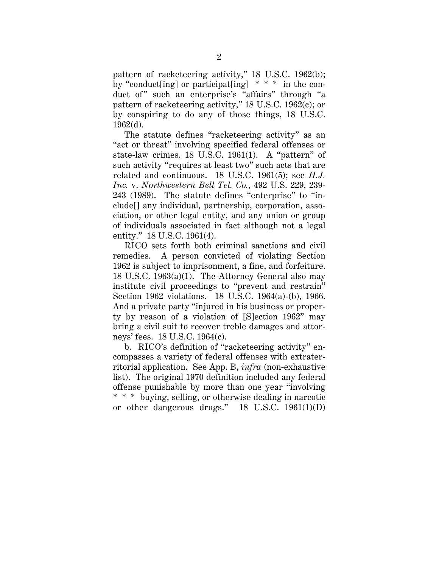pattern of racketeering activity," 18 U.S.C. 1962(b); by "conduct [ing] or participat  $\lceil \frac{m}{r} \rceil$  \* \* in the conduct of" such an enterprise's "affairs" through "a pattern of racketeering activity," 18 U.S.C. 1962(c); or by conspiring to do any of those things, 18 U.S.C. 1962(d).

The statute defines "racketeering activity" as an "act or threat" involving specified federal offenses or state-law crimes. 18 U.S.C. 1961(1). A "pattern" of such activity "requires at least two" such acts that are related and continuous. 18 U.S.C. 1961(5); see *H.J. Inc.* v. *Northwestern Bell Tel. Co.*, 492 U.S. 229, 239- 243 (1989). The statute defines "enterprise" to "include[] any individual, partnership, corporation, association, or other legal entity, and any union or group of individuals associated in fact although not a legal entity." 18 U.S.C. 1961(4).

RICO sets forth both criminal sanctions and civil remedies. A person convicted of violating Section 1962 is subject to imprisonment, a fine, and forfeiture. 18 U.S.C. 1963(a)(1). The Attorney General also may institute civil proceedings to "prevent and restrain" Section 1962 violations. 18 U.S.C. 1964(a)-(b), 1966. And a private party "injured in his business or property by reason of a violation of [S]ection 1962" may bring a civil suit to recover treble damages and attorneys' fees. 18 U.S.C. 1964(c).

b. RICO's definition of "racketeering activity" encompasses a variety of federal offenses with extraterritorial application. See App. B, *infra* (non-exhaustive list). The original 1970 definition included any federal offense punishable by more than one year "involving \* \* \* buying, selling, or otherwise dealing in narcotic or other dangerous drugs." 18 U.S.C. 1961(1)(D)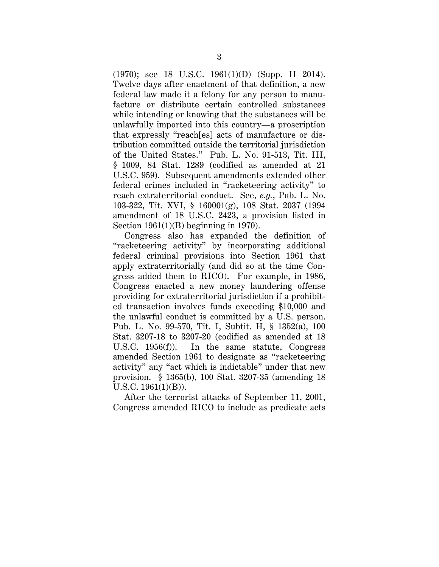(1970); see 18 U.S.C. 1961(1)(D) (Supp. II 2014). Twelve days after enactment of that definition, a new federal law made it a felony for any person to manufacture or distribute certain controlled substances while intending or knowing that the substances will be unlawfully imported into this country—a proscription that expressly "reach[es] acts of manufacture or distribution committed outside the territorial jurisdiction of the United States." Pub. L. No. 91-513, Tit. III, § 1009, 84 Stat. 1289 (codified as amended at 21 U.S.C. 959). Subsequent amendments extended other federal crimes included in "racketeering activity" to reach extraterritorial conduct. See, *e.g.*, Pub. L. No. 103-322, Tit. XVI, § 160001(g), 108 Stat. 2037 (1994 amendment of 18 U.S.C. 2423, a provision listed in Section 1961(1)(B) beginning in 1970).

Congress also has expanded the definition of "racketeering activity" by incorporating additional federal criminal provisions into Section 1961 that apply extraterritorially (and did so at the time Congress added them to RICO). For example, in 1986, Congress enacted a new money laundering offense providing for extraterritorial jurisdiction if a prohibited transaction involves funds exceeding \$10,000 and the unlawful conduct is committed by a U.S. person. Pub. L. No. 99-570, Tit. I, Subtit. H, § 1352(a), 100 Stat. 3207-18 to 3207-20 (codified as amended at 18 U.S.C. 1956(f)). In the same statute, Congress amended Section 1961 to designate as "racketeering activity" any "act which is indictable" under that new provision. § 1365(b), 100 Stat. 3207-35 (amending 18 U.S.C. 1961(1)(B)).

After the terrorist attacks of September 11, 2001, Congress amended RICO to include as predicate acts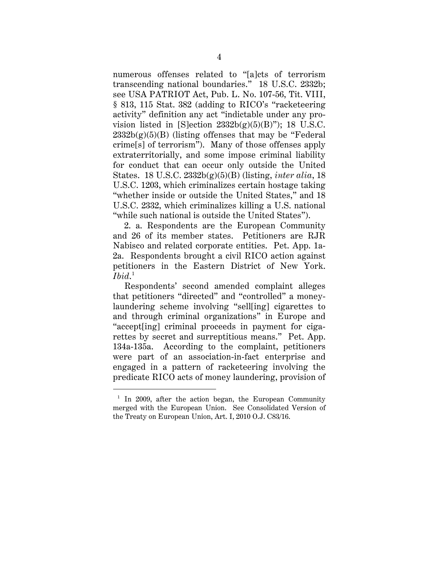numerous offenses related to "[a]cts of terrorism transcending national boundaries." 18 U.S.C. 2332b; see USA PATRIOT Act, Pub. L. No. 107-56, Tit. VIII, § 813, 115 Stat. 382 (adding to RICO's "racketeering activity" definition any act "indictable under any provision listed in  $[S]$ ection  $2332b(g)(5)(B)$ "); 18 U.S.C.  $2332b(g)(5)(B)$  (listing offenses that may be "Federal") crime[s] of terrorism"). Many of those offenses apply extraterritorially, and some impose criminal liability for conduct that can occur only outside the United States. 18 U.S.C. 2332b(g)(5)(B) (listing, *inter alia*, 18 U.S.C. 1203, which criminalizes certain hostage taking "whether inside or outside the United States," and 18 U.S.C. 2332, which criminalizes killing a U.S. national "while such national is outside the United States").

2. a. Respondents are the European Community and 26 of its member states. Petitioners are RJR Nabisco and related corporate entities. Pet. App. 1a-2a. Respondents brought a civil RICO action against petitioners in the Eastern District of New York.  $Ibid.^1$ 

Respondents' second amended complaint alleges that petitioners "directed" and "controlled" a moneylaundering scheme involving "sell[ing] cigarettes to and through criminal organizations" in Europe and "accept[ing] criminal proceeds in payment for cigarettes by secret and surreptitious means." Pet. App. 134a-135a. According to the complaint, petitioners were part of an association-in-fact enterprise and engaged in a pattern of racketeering involving the predicate RICO acts of money laundering, provision of

<sup>&</sup>lt;sup>1</sup> In 2009, after the action began, the European Community merged with the European Union. See Consolidated Version of the Treaty on European Union, Art. I, 2010 O.J. C83/16.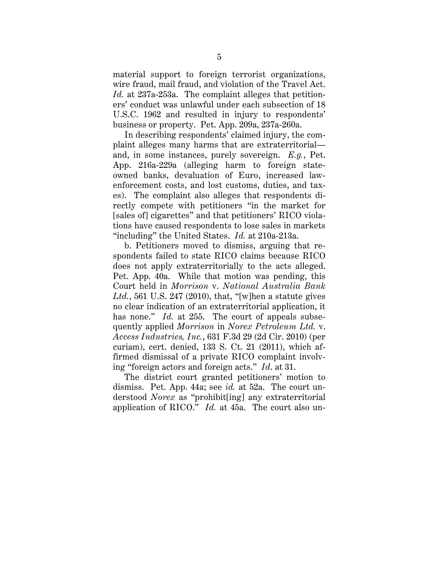material support to foreign terrorist organizations, wire fraud, mail fraud, and violation of the Travel Act. *Id.* at 237a-253a. The complaint alleges that petitioners' conduct was unlawful under each subsection of 18 U.S.C. 1962 and resulted in injury to respondents' business or property. Pet. App. 209a, 237a-260a.

In describing respondents' claimed injury, the complaint alleges many harms that are extraterritorial and, in some instances, purely sovereign. *E.g.*, Pet. App. 216a-229a (alleging harm to foreign stateowned banks, devaluation of Euro, increased lawenforcement costs, and lost customs, duties, and taxes). The complaint also alleges that respondents directly compete with petitioners "in the market for [sales of] cigarettes" and that petitioners' RICO violations have caused respondents to lose sales in markets "including" the United States. *Id.* at 210a-213a.

b. Petitioners moved to dismiss, arguing that respondents failed to state RICO claims because RICO does not apply extraterritorially to the acts alleged. Pet. App. 40a. While that motion was pending, this Court held in *Morrison* v. *National Australia Bank Ltd.*, 561 U.S. 247 (2010), that, "[w]hen a statute gives no clear indication of an extraterritorial application, it has none." *Id.* at 255. The court of appeals subsequently applied *Morrison* in *Norex Petroleum Ltd.* v. *Access Industries, Inc.*, 631 F.3d 29 (2d Cir. 2010) (per curiam), cert. denied, 133 S. Ct. 21 (2011), which affirmed dismissal of a private RICO complaint involving "foreign actors and foreign acts." *Id*. at 31.

The district court granted petitioners' motion to dismiss. Pet. App. 44a; see *id.* at 52a. The court understood *Norex* as "prohibit[ing] any extraterritorial application of RICO." *Id.* at 45a. The court also un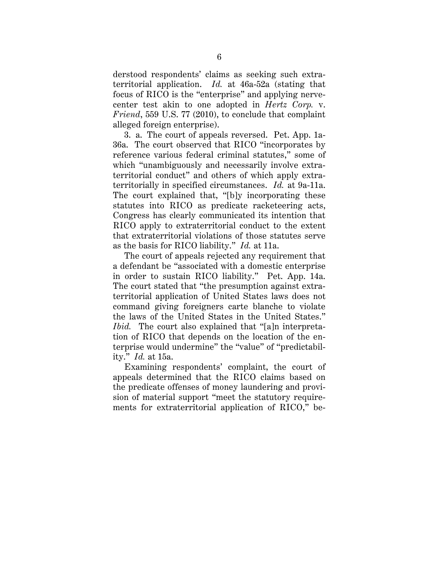derstood respondents' claims as seeking such extraterritorial application. *Id.* at 46a-52a (stating that focus of RICO is the "enterprise" and applying nervecenter test akin to one adopted in *Hertz Corp.* v. *Friend*, 559 U.S. 77 (2010), to conclude that complaint alleged foreign enterprise).

3. a. The court of appeals reversed. Pet. App. 1a-36a. The court observed that RICO "incorporates by reference various federal criminal statutes," some of which "unambiguously and necessarily involve extraterritorial conduct" and others of which apply extraterritorially in specified circumstances. *Id.* at 9a-11a. The court explained that, "[b]y incorporating these statutes into RICO as predicate racketeering acts, Congress has clearly communicated its intention that RICO apply to extraterritorial conduct to the extent that extraterritorial violations of those statutes serve as the basis for RICO liability." *Id.* at 11a.

The court of appeals rejected any requirement that a defendant be "associated with a domestic enterprise in order to sustain RICO liability." Pet. App. 14a. The court stated that "the presumption against extraterritorial application of United States laws does not command giving foreigners carte blanche to violate the laws of the United States in the United States." *Ibid.* The court also explained that "[a]n interpretation of RICO that depends on the location of the enterprise would undermine" the "value" of "predictability." *Id.* at 15a.

Examining respondents' complaint, the court of appeals determined that the RICO claims based on the predicate offenses of money laundering and provision of material support "meet the statutory requirements for extraterritorial application of RICO," be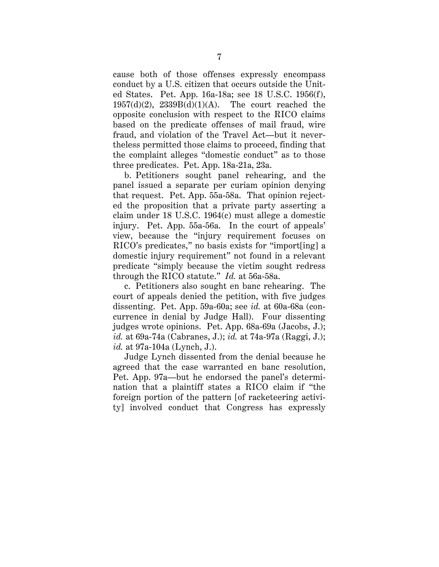cause both of those offenses expressly encompass conduct by a U.S. citizen that occurs outside the United States. Pet. App. 16a-18a; see 18 U.S.C. 1956(f),  $1957(d)(2)$ ,  $2339B(d)(1)(A)$ . The court reached the opposite conclusion with respect to the RICO claims based on the predicate offenses of mail fraud, wire fraud, and violation of the Travel Act—but it nevertheless permitted those claims to proceed, finding that the complaint alleges "domestic conduct" as to those three predicates. Pet. App. 18a-21a, 23a.

b. Petitioners sought panel rehearing, and the panel issued a separate per curiam opinion denying that request. Pet. App. 55a-58a. That opinion rejected the proposition that a private party asserting a claim under 18 U.S.C. 1964(c) must allege a domestic injury. Pet. App. 55a-56a. In the court of appeals' view, because the "injury requirement focuses on RICO's predicates," no basis exists for "import[ing] a domestic injury requirement" not found in a relevant predicate "simply because the victim sought redress through the RICO statute." *Id.* at 56a-58a.

c. Petitioners also sought en banc rehearing. The court of appeals denied the petition, with five judges dissenting. Pet. App. 59a-60a; see *id.* at 60a-68a (concurrence in denial by Judge Hall). Four dissenting judges wrote opinions. Pet. App. 68a-69a (Jacobs, J.); *id.* at 69a-74a (Cabranes, J.); *id.* at 74a-97a (Raggi, J.); *id.* at 97a-104a (Lynch, J.).

Judge Lynch dissented from the denial because he agreed that the case warranted en banc resolution, Pet. App. 97a—but he endorsed the panel's determination that a plaintiff states a RICO claim if "the foreign portion of the pattern [of racketeering activity] involved conduct that Congress has expressly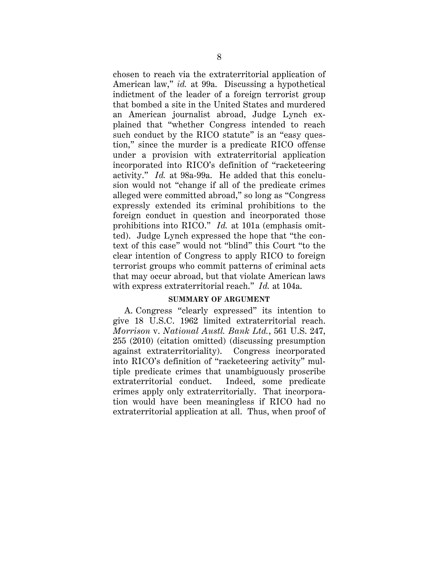chosen to reach via the extraterritorial application of American law," *id.* at 99a. Discussing a hypothetical indictment of the leader of a foreign terrorist group that bombed a site in the United States and murdered an American journalist abroad, Judge Lynch explained that "whether Congress intended to reach such conduct by the RICO statute" is an "easy question," since the murder is a predicate RICO offense under a provision with extraterritorial application incorporated into RICO's definition of "racketeering activity." *Id.* at 98a-99a. He added that this conclusion would not "change if all of the predicate crimes alleged were committed abroad," so long as "Congress expressly extended its criminal prohibitions to the foreign conduct in question and incorporated those prohibitions into RICO." *Id.* at 101a (emphasis omitted). Judge Lynch expressed the hope that "the context of this case" would not "blind" this Court "to the clear intention of Congress to apply RICO to foreign terrorist groups who commit patterns of criminal acts that may occur abroad, but that violate American laws with express extraterritorial reach." *Id.* at 104a.

### **SUMMARY OF ARGUMENT**

A. Congress "clearly expressed" its intention to give 18 U.S.C. 1962 limited extraterritorial reach. *Morrison* v. *National Austl. Bank Ltd.*, 561 U.S. 247, 255 (2010) (citation omitted) (discussing presumption against extraterritoriality). Congress incorporated into RICO's definition of "racketeering activity" multiple predicate crimes that unambiguously proscribe extraterritorial conduct. Indeed, some predicate crimes apply only extraterritorially. That incorporation would have been meaningless if RICO had no extraterritorial application at all. Thus, when proof of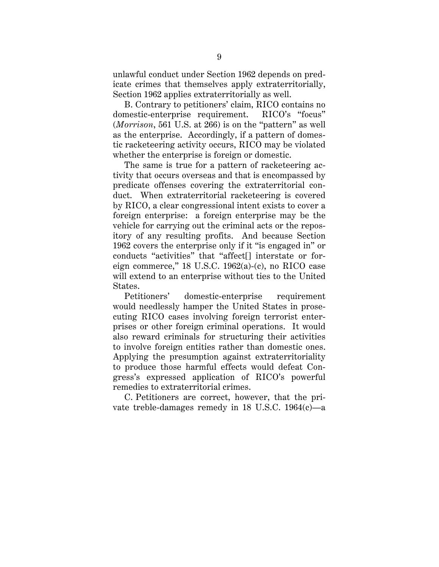unlawful conduct under Section 1962 depends on predicate crimes that themselves apply extraterritorially, Section 1962 applies extraterritorially as well.

B. Contrary to petitioners' claim, RICO contains no domestic-enterprise requirement. RICO's "focus" (*Morrison*, 561 U.S. at 266) is on the "pattern" as well as the enterprise. Accordingly, if a pattern of domestic racketeering activity occurs, RICO may be violated whether the enterprise is foreign or domestic.

The same is true for a pattern of racketeering activity that occurs overseas and that is encompassed by predicate offenses covering the extraterritorial conduct. When extraterritorial racketeering is covered by RICO, a clear congressional intent exists to cover a foreign enterprise: a foreign enterprise may be the vehicle for carrying out the criminal acts or the repository of any resulting profits. And because Section 1962 covers the enterprise only if it "is engaged in" or conducts "activities" that "affect[] interstate or foreign commerce,"  $18$  U.S.C.  $1962(a)-(c)$ , no RICO case will extend to an enterprise without ties to the United States.

Petitioners' domestic-enterprise requirement would needlessly hamper the United States in prosecuting RICO cases involving foreign terrorist enterprises or other foreign criminal operations. It would also reward criminals for structuring their activities to involve foreign entities rather than domestic ones. Applying the presumption against extraterritoriality to produce those harmful effects would defeat Congress's expressed application of RICO's powerful remedies to extraterritorial crimes.

C. Petitioners are correct, however, that the private treble-damages remedy in 18 U.S.C. 1964(c)—a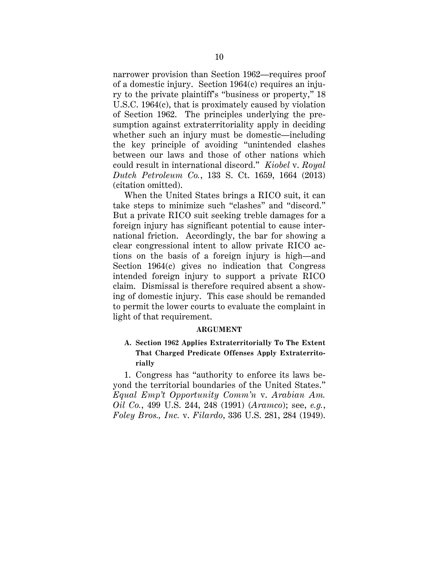narrower provision than Section 1962—requires proof of a domestic injury. Section 1964(c) requires an injury to the private plaintiff's "business or property," 18 U.S.C. 1964(c), that is proximately caused by violation of Section 1962. The principles underlying the presumption against extraterritoriality apply in deciding whether such an injury must be domestic—including the key principle of avoiding "unintended clashes between our laws and those of other nations which could result in international discord." *Kiobel* v. *Royal Dutch Petroleum Co.*, 133 S. Ct. 1659, 1664 (2013) (citation omitted).

When the United States brings a RICO suit, it can take steps to minimize such "clashes" and "discord." But a private RICO suit seeking treble damages for a foreign injury has significant potential to cause international friction. Accordingly, the bar for showing a clear congressional intent to allow private RICO actions on the basis of a foreign injury is high—and Section 1964(c) gives no indication that Congress intended foreign injury to support a private RICO claim. Dismissal is therefore required absent a showing of domestic injury. This case should be remanded to permit the lower courts to evaluate the complaint in light of that requirement.

#### **ARGUMENT**

### **A. Section 1962 Applies Extraterritorially To The Extent That Charged Predicate Offenses Apply Extraterritorially**

1. Congress has "authority to enforce its laws beyond the territorial boundaries of the United States." *Equal Emp't Opportunity Comm'n* v. *Arabian Am. Oil Co.*, 499 U.S. 244, 248 (1991) (*Aramco*); see, *e.g.*, *Foley Bros., Inc.* v. *Filardo*, 336 U.S. 281, 284 (1949).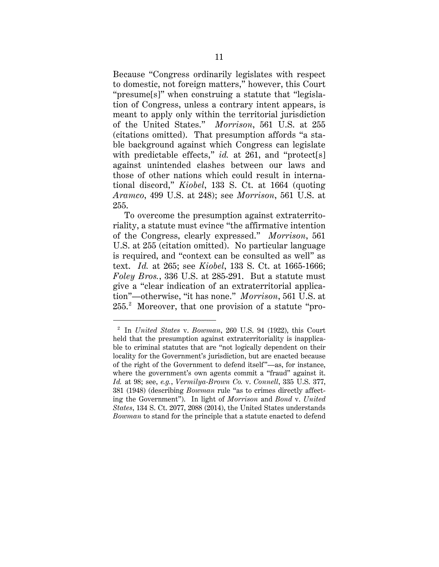Because "Congress ordinarily legislates with respect to domestic, not foreign matters," however, this Court "presume[s]" when construing a statute that "legislation of Congress, unless a contrary intent appears, is meant to apply only within the territorial jurisdiction of the United States." *Morrison*, 561 U.S. at 255 (citations omitted). That presumption affords "a stable background against which Congress can legislate with predictable effects," *id.* at 261, and "protect[s] against unintended clashes between our laws and those of other nations which could result in international discord," *Kiobel*, 133 S. Ct. at 1664 (quoting *Aramco*, 499 U.S. at 248); see *Morrison*, 561 U.S. at 255.

To overcome the presumption against extraterritoriality, a statute must evince "the affirmative intention of the Congress, clearly expressed." *Morrison*, 561 U.S. at 255 (citation omitted). No particular language is required, and "context can be consulted as well" as text. *Id.* at 265; see *Kiobel*, 133 S. Ct. at 1665-1666; *Foley Bros.*, 336 U.S. at 285-291. But a statute must give a "clear indication of an extraterritorial application"—otherwise, "it has none." *Morrison*, 561 U.S. at 255. <sup>2</sup> Moreover, that one provision of a statute "pro-

 <sup>2</sup> In *United States* v. *Bowman*, 260 U.S. 94 (1922), this Court held that the presumption against extraterritoriality is inapplicable to criminal statutes that are "not logically dependent on their locality for the Government's jurisdiction, but are enacted because of the right of the Government to defend itself"—as, for instance, where the government's own agents commit a "fraud" against it. *Id.* at 98; see, *e.g.*, *Vermilya-Brown Co.* v. *Connell*, 335 U.S. 377, 381 (1948) (describing *Bowman* rule "as to crimes directly affecting the Government"). In light of *Morrison* and *Bond* v. *United States*, 134 S. Ct. 2077, 2088 (2014), the United States understands *Bowman* to stand for the principle that a statute enacted to defend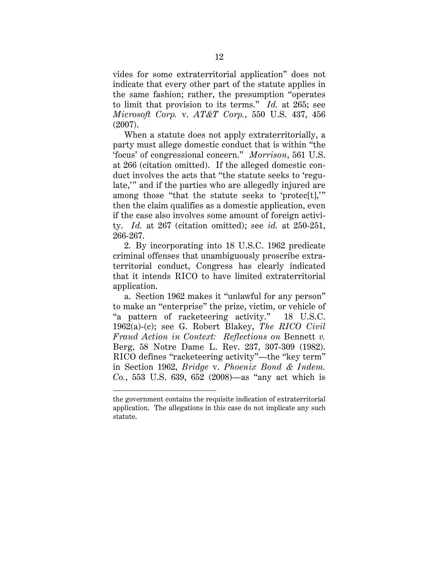vides for some extraterritorial application" does not indicate that every other part of the statute applies in the same fashion; rather, the presumption "operates to limit that provision to its terms." *Id.* at 265; see *Microsoft Corp.* v. *AT&T Corp.*, 550 U.S. 437, 456 (2007).

When a statute does not apply extraterritorially, a party must allege domestic conduct that is within "the 'focus' of congressional concern." *Morrison*, 561 U.S. at 266 (citation omitted). If the alleged domestic conduct involves the acts that "the statute seeks to 'regulate,'" and if the parties who are allegedly injured are among those "that the statute seeks to 'protec[t],'" then the claim qualifies as a domestic application, even if the case also involves some amount of foreign activity. *Id.* at 267 (citation omitted); see *id.* at 250-251, 266-267.

2. By incorporating into 18 U.S.C. 1962 predicate criminal offenses that unambiguously proscribe extraterritorial conduct, Congress has clearly indicated that it intends RICO to have limited extraterritorial application.

a. Section 1962 makes it "unlawful for any person" to make an "enterprise" the prize, victim, or vehicle of "a pattern of racketeering activity." 18 U.S.C. 1962(a)-(c); see G. Robert Blakey, *The RICO Civil Fraud Action in Context: Reflections on* Bennett *v.* Berg, 58 Notre Dame L. Rev. 237, 307-309 (1982). RICO defines "racketeering activity"—the "key term" in Section 1962, *Bridge* v. *Phoenix Bond & Indem. Co.*, 553 U.S. 639, 652 (2008)—as "any act which is

 $\overline{a}$ 

the government contains the requisite indication of extraterritorial application. The allegations in this case do not implicate any such statute.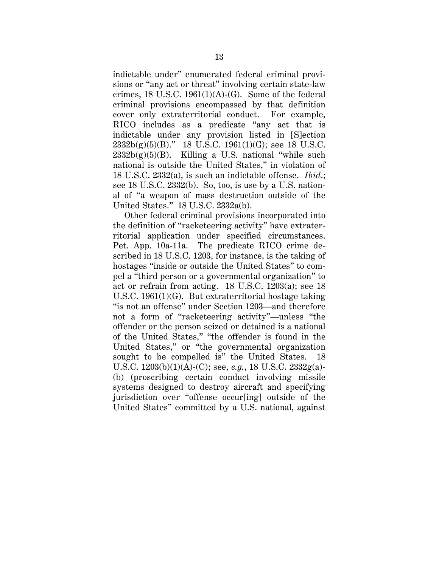indictable under" enumerated federal criminal provisions or "any act or threat" involving certain state-law crimes, 18 U.S.C.  $1961(1)(A)-(G)$ . Some of the federal criminal provisions encompassed by that definition cover only extraterritorial conduct. For example, RICO includes as a predicate "any act that is indictable under any provision listed in [S]ection  $2332b(g)(5)(B)$ ." 18 U.S.C. 1961(1)(G); see 18 U.S.C.  $2332b(g)(5)(B)$ . Killing a U.S. national "while such national is outside the United States," in violation of 18 U.S.C. 2332(a), is such an indictable offense. *Ibid*.; see 18 U.S.C. 2332(b). So, too, is use by a U.S. national of "a weapon of mass destruction outside of the United States." 18 U.S.C. 2332a(b).

Other federal criminal provisions incorporated into the definition of "racketeering activity" have extraterritorial application under specified circumstances. Pet. App. 10a-11a. The predicate RICO crime described in 18 U.S.C. 1203, for instance, is the taking of hostages "inside or outside the United States" to compel a "third person or a governmental organization" to act or refrain from acting. 18 U.S.C. 1203(a); see 18 U.S.C. 1961(1)(G). But extraterritorial hostage taking "is not an offense" under Section 1203—and therefore not a form of "racketeering activity"—unless "the offender or the person seized or detained is a national of the United States," "the offender is found in the United States," or "the governmental organization sought to be compelled is" the United States. 18 U.S.C. 1203(b)(1)(A)-(C); see, *e.g.*, 18 U.S.C. 2332g(a)- (b) (proscribing certain conduct involving missile systems designed to destroy aircraft and specifying jurisdiction over "offense occur[ing] outside of the United States" committed by a U.S. national, against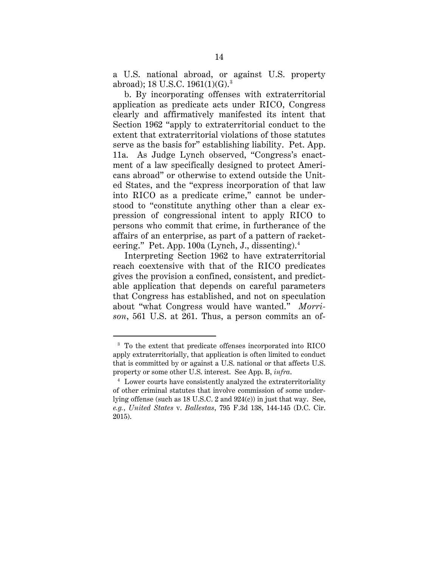a U.S. national abroad, or against U.S. property abroad); 18 U.S.C.  $1961(1)(G).$ <sup>3</sup>

b. By incorporating offenses with extraterritorial application as predicate acts under RICO, Congress clearly and affirmatively manifested its intent that Section 1962 "apply to extraterritorial conduct to the extent that extraterritorial violations of those statutes serve as the basis for" establishing liability. Pet. App. 11a. As Judge Lynch observed, "Congress's enactment of a law specifically designed to protect Americans abroad" or otherwise to extend outside the United States, and the "express incorporation of that law into RICO as a predicate crime," cannot be understood to "constitute anything other than a clear expression of congressional intent to apply RICO to persons who commit that crime, in furtherance of the affairs of an enterprise, as part of a pattern of racketeering." Pet. App. 100a (Lynch, J., dissenting).4

Interpreting Section 1962 to have extraterritorial reach coextensive with that of the RICO predicates gives the provision a confined, consistent, and predictable application that depends on careful parameters that Congress has established, and not on speculation about "what Congress would have wanted." *Morrison*, 561 U.S. at 261. Thus, a person commits an of-

<sup>&</sup>lt;sup>3</sup> To the extent that predicate offenses incorporated into RICO apply extraterritorially, that application is often limited to conduct that is committed by or against a U.S. national or that affects U.S. property or some other U.S. interest. See App. B, *infra*.

<sup>4</sup> Lower courts have consistently analyzed the extraterritoriality of other criminal statutes that involve commission of some underlying offense (such as 18 U.S.C. 2 and 924(c)) in just that way. See, *e.g.*, *United States* v. *Ballestas*, 795 F.3d 138, 144-145 (D.C. Cir. 2015).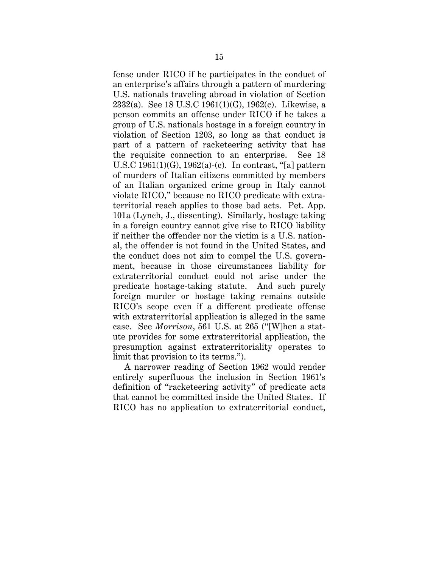fense under RICO if he participates in the conduct of an enterprise's affairs through a pattern of murdering U.S. nationals traveling abroad in violation of Section 2332(a). See 18 U.S.C 1961(1)(G), 1962(c). Likewise, a person commits an offense under RICO if he takes a group of U.S. nationals hostage in a foreign country in violation of Section 1203, so long as that conduct is part of a pattern of racketeering activity that has the requisite connection to an enterprise. See 18 U.S.C 1961(1)(G), 1962(a)-(c).In contrast, "[a] pattern of murders of Italian citizens committed by members of an Italian organized crime group in Italy cannot violate RICO," because no RICO predicate with extraterritorial reach applies to those bad acts. Pet. App. 101a (Lynch, J., dissenting). Similarly, hostage taking in a foreign country cannot give rise to RICO liability if neither the offender nor the victim is a U.S. national, the offender is not found in the United States, and the conduct does not aim to compel the U.S. government, because in those circumstances liability for extraterritorial conduct could not arise under the predicate hostage-taking statute. And such purely foreign murder or hostage taking remains outside RICO's scope even if a different predicate offense with extraterritorial application is alleged in the same case. See *Morrison*, 561 U.S. at 265 ("[W]hen a statute provides for some extraterritorial application, the presumption against extraterritoriality operates to limit that provision to its terms.").

A narrower reading of Section 1962 would render entirely superfluous the inclusion in Section 1961's definition of "racketeering activity" of predicate acts that cannot be committed inside the United States. If RICO has no application to extraterritorial conduct,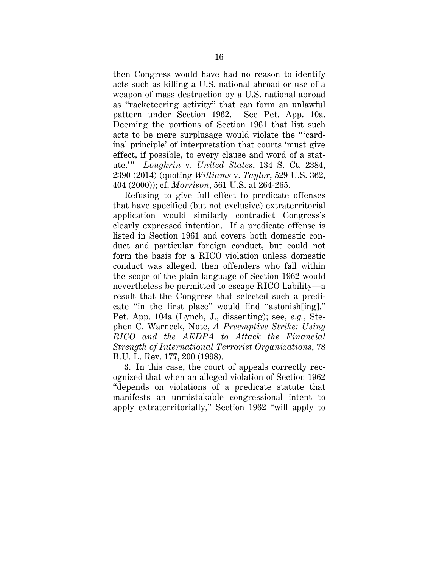then Congress would have had no reason to identify acts such as killing a U.S. national abroad or use of a weapon of mass destruction by a U.S. national abroad as "racketeering activity" that can form an unlawful pattern under Section 1962. See Pet. App. 10a. Deeming the portions of Section 1961 that list such acts to be mere surplusage would violate the "'cardinal principle' of interpretation that courts 'must give effect, if possible, to every clause and word of a statute.'" *Loughrin* v. *United States*, 134 S. Ct. 2384, 2390 (2014) (quoting *Williams* v. *Taylor*, 529 U.S. 362, 404 (2000)); cf. *Morrison*, 561 U.S. at 264-265.

Refusing to give full effect to predicate offenses that have specified (but not exclusive) extraterritorial application would similarly contradict Congress's clearly expressed intention. If a predicate offense is listed in Section 1961 and covers both domestic conduct and particular foreign conduct, but could not form the basis for a RICO violation unless domestic conduct was alleged, then offenders who fall within the scope of the plain language of Section 1962 would nevertheless be permitted to escape RICO liability—a result that the Congress that selected such a predicate "in the first place" would find "astonish[ing]." Pet. App. 104a (Lynch, J., dissenting); see, *e.g.*, Stephen C. Warneck, Note, *A Preemptive Strike: Using RICO and the AEDPA to Attack the Financial Strength of International Terrorist Organizations*, 78 B.U. L. Rev. 177, 200 (1998).

3. In this case, the court of appeals correctly recognized that when an alleged violation of Section 1962 "depends on violations of a predicate statute that manifests an unmistakable congressional intent to apply extraterritorially," Section 1962 "will apply to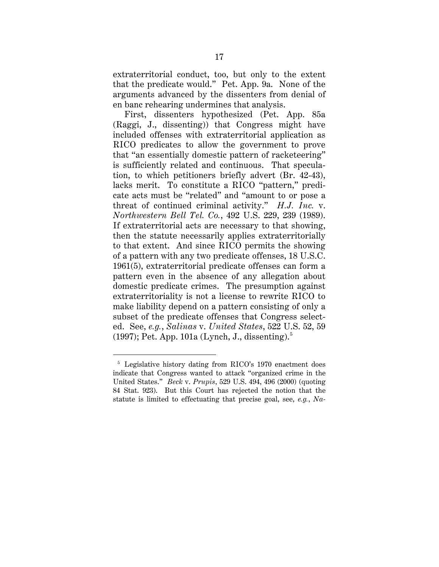extraterritorial conduct, too, but only to the extent that the predicate would." Pet. App. 9a. None of the arguments advanced by the dissenters from denial of en banc rehearing undermines that analysis.

First, dissenters hypothesized (Pet. App. 85a (Raggi, J., dissenting)) that Congress might have included offenses with extraterritorial application as RICO predicates to allow the government to prove that "an essentially domestic pattern of racketeering" is sufficiently related and continuous. That speculation, to which petitioners briefly advert (Br. 42-43), lacks merit. To constitute a RICO "pattern," predicate acts must be "related" and "amount to or pose a threat of continued criminal activity." *H.J. Inc.* v. *Northwestern Bell Tel. Co.*, 492 U.S. 229, 239 (1989). If extraterritorial acts are necessary to that showing, then the statute necessarily applies extraterritorially to that extent. And since RICO permits the showing of a pattern with any two predicate offenses, 18 U.S.C. 1961(5), extraterritorial predicate offenses can form a pattern even in the absence of any allegation about domestic predicate crimes. The presumption against extraterritoriality is not a license to rewrite RICO to make liability depend on a pattern consisting of only a subset of the predicate offenses that Congress selected. See, *e.g.*, *Salinas* v. *United States*, 522 U.S. 52, 59  $(1997)$ ; Pet. App. 101a (Lynch, J., dissenting).<sup>5</sup>

<sup>&</sup>lt;sup>5</sup> Legislative history dating from RICO's 1970 enactment does indicate that Congress wanted to attack "organized crime in the United States." *Beck* v. *Prupis*, 529 U.S. 494, 496 (2000) (quoting 84 Stat. 923). But this Court has rejected the notion that the statute is limited to effectuating that precise goal, see, *e.g.*, *Na-*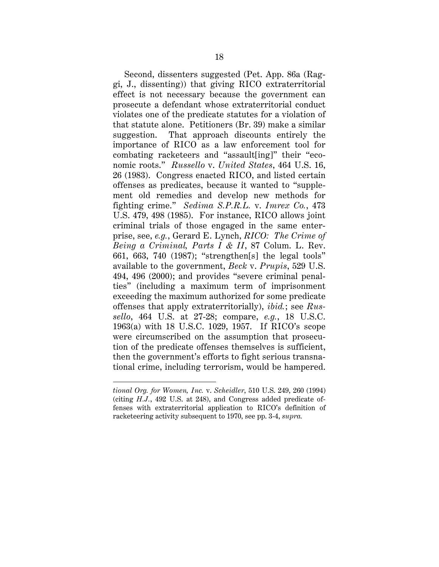Second, dissenters suggested (Pet. App. 86a (Raggi, J., dissenting)) that giving RICO extraterritorial effect is not necessary because the government can prosecute a defendant whose extraterritorial conduct violates one of the predicate statutes for a violation of that statute alone. Petitioners (Br. 39) make a similar suggestion. That approach discounts entirely the importance of RICO as a law enforcement tool for combating racketeers and "assault[ing]" their "economic roots." *Russello* v. *United States*, 464 U.S. 16, 26 (1983). Congress enacted RICO, and listed certain offenses as predicates, because it wanted to "supplement old remedies and develop new methods for fighting crime." *Sedima S.P.R.L.* v. *Imrex Co.*, 473 U.S. 479, 498 (1985). For instance, RICO allows joint criminal trials of those engaged in the same enterprise, see, *e.g.*, Gerard E. Lynch, *RICO: The Crime of Being a Criminal, Parts I & II*, 87 Colum. L. Rev. 661, 663, 740 (1987); "strengthen[s] the legal tools" available to the government, *Beck* v. *Prupis*, 529 U.S. 494, 496 (2000); and provides "severe criminal penalties" (including a maximum term of imprisonment exceeding the maximum authorized for some predicate offenses that apply extraterritorially), *ibid.*; see *Russello*, 464 U.S. at 27-28; compare, *e.g.*, 18 U.S.C. 1963(a) with 18 U.S.C. 1029, 1957. If RICO's scope were circumscribed on the assumption that prosecution of the predicate offenses themselves is sufficient, then the government's efforts to fight serious transnational crime, including terrorism, would be hampered.

 $\overline{a}$ 

*tional Org. for Women, Inc.* v. *Scheidler*, 510 U.S. 249, 260 (1994) (citing *H.J.*, 492 U.S. at 248), and Congress added predicate offenses with extraterritorial application to RICO's definition of racketeering activity subsequent to 1970, see pp. 3-4, *supra.*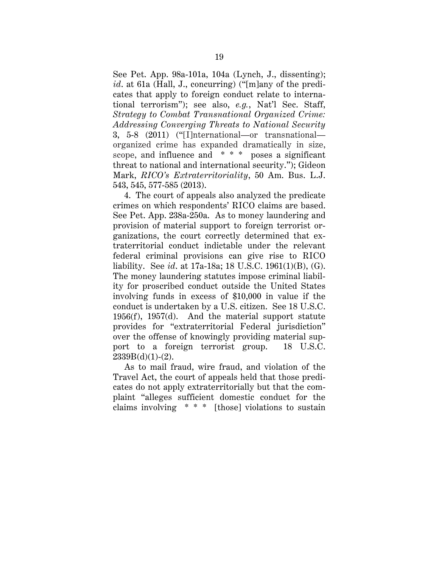See Pet. App. 98a-101a, 104a (Lynch, J., dissenting); *id*. at 61a (Hall, J., concurring) ("[m]any of the predicates that apply to foreign conduct relate to international terrorism"); see also, *e.g.*, Nat'l Sec. Staff, *Strategy to Combat Transnational Organized Crime: Addressing Converging Threats to National Security* 3, 5-8 (2011) ("[I]nternational—or transnational organized crime has expanded dramatically in size, scope, and influence and \* \* \* poses a significant threat to national and international security."); Gideon Mark, *RICO's Extraterritoriality*, 50 Am. Bus. L.J. 543, 545, 577-585 (2013).

4. The court of appeals also analyzed the predicate crimes on which respondents' RICO claims are based. See Pet. App. 238a-250a. As to money laundering and provision of material support to foreign terrorist organizations, the court correctly determined that extraterritorial conduct indictable under the relevant federal criminal provisions can give rise to RICO liability. See *id*. at 17a-18a; 18 U.S.C. 1961(1)(B), (G). The money laundering statutes impose criminal liability for proscribed conduct outside the United States involving funds in excess of \$10,000 in value if the conduct is undertaken by a U.S. citizen. See 18 U.S.C. 1956(f), 1957(d). And the material support statute provides for "extraterritorial Federal jurisdiction" over the offense of knowingly providing material support to a foreign terrorist group. 18 U.S.C.  $2339B(d)(1)-(2)$ .

As to mail fraud, wire fraud, and violation of the Travel Act, the court of appeals held that those predicates do not apply extraterritorially but that the complaint "alleges sufficient domestic conduct for the claims involving \* \* \* [those] violations to sustain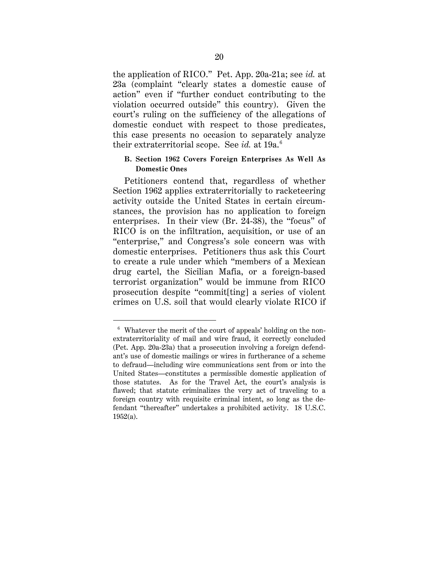the application of RICO." Pet. App. 20a-21a; see *id.* at 23a (complaint "clearly states a domestic cause of action" even if "further conduct contributing to the violation occurred outside" this country). Given the court's ruling on the sufficiency of the allegations of domestic conduct with respect to those predicates, this case presents no occasion to separately analyze their extraterritorial scope. See *id.* at 19a. <sup>6</sup>

### **B. Section 1962 Covers Foreign Enterprises As Well As Domestic Ones**

Petitioners contend that, regardless of whether Section 1962 applies extraterritorially to racketeering activity outside the United States in certain circumstances, the provision has no application to foreign enterprises. In their view (Br. 24-38), the "focus" of RICO is on the infiltration, acquisition, or use of an "enterprise," and Congress's sole concern was with domestic enterprises. Petitioners thus ask this Court to create a rule under which "members of a Mexican drug cartel, the Sicilian Mafia, or a foreign-based terrorist organization" would be immune from RICO prosecution despite "commit[ting] a series of violent crimes on U.S. soil that would clearly violate RICO if

 $6$  Whatever the merit of the court of appeals' holding on the nonextraterritoriality of mail and wire fraud, it correctly concluded (Pet. App. 20a-23a) that a prosecution involving a foreign defendant's use of domestic mailings or wires in furtherance of a scheme to defraud—including wire communications sent from or into the United States—constitutes a permissible domestic application of those statutes. As for the Travel Act, the court's analysis is flawed; that statute criminalizes the very act of traveling to a foreign country with requisite criminal intent, so long as the defendant "thereafter" undertakes a prohibited activity. 18 U.S.C.  $1952(a)$ .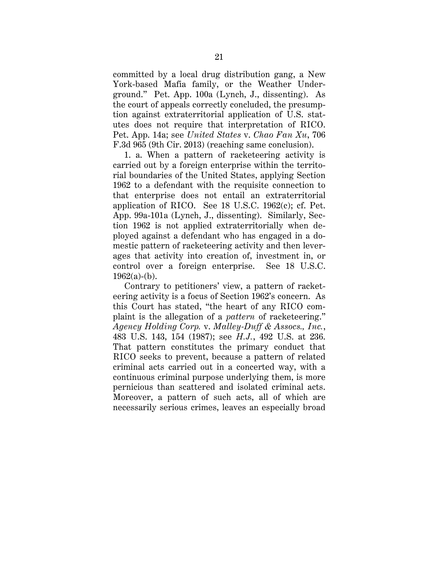committed by a local drug distribution gang, a New York-based Mafia family, or the Weather Underground." Pet. App. 100a (Lynch, J., dissenting). As the court of appeals correctly concluded, the presumption against extraterritorial application of U.S. statutes does not require that interpretation of RICO. Pet. App. 14a; see *United States* v. *Chao Fan Xu*, 706 F.3d 965 (9th Cir. 2013) (reaching same conclusion).

1. a. When a pattern of racketeering activity is carried out by a foreign enterprise within the territorial boundaries of the United States, applying Section 1962 to a defendant with the requisite connection to that enterprise does not entail an extraterritorial application of RICO. See 18 U.S.C. 1962(c); cf. Pet. App. 99a-101a (Lynch, J., dissenting). Similarly, Section 1962 is not applied extraterritorially when deployed against a defendant who has engaged in a domestic pattern of racketeering activity and then leverages that activity into creation of, investment in, or control over a foreign enterprise. See 18 U.S.C.  $1962(a)-(b)$ .

Contrary to petitioners' view, a pattern of racketeering activity is a focus of Section 1962's concern. As this Court has stated, "the heart of any RICO complaint is the allegation of a *pattern* of racketeering." *Agency Holding Corp.* v. *Malley-Duff & Assocs., Inc.*, 483 U.S. 143, 154 (1987); see *H.J.*, 492 U.S. at 236. That pattern constitutes the primary conduct that RICO seeks to prevent, because a pattern of related criminal acts carried out in a concerted way, with a continuous criminal purpose underlying them, is more pernicious than scattered and isolated criminal acts. Moreover, a pattern of such acts, all of which are necessarily serious crimes, leaves an especially broad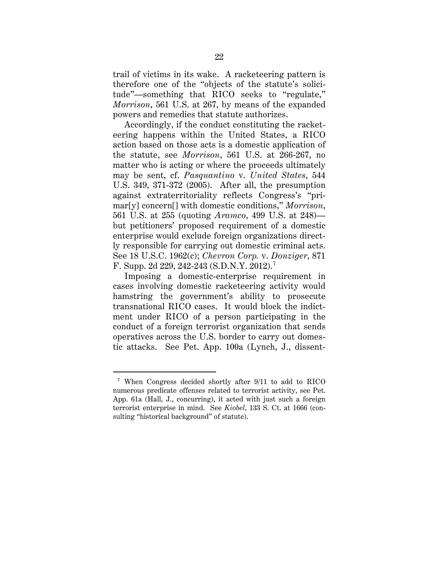trail of victims in its wake. A racketeering pattern is therefore one of the "objects of the statute's solicitude"—something that RICO seeks to "regulate," *Morrison*, 561 U.S. at 267, by means of the expanded powers and remedies that statute authorizes.

Accordingly, if the conduct constituting the racketeering happens within the United States, a RICO action based on those acts is a domestic application of the statute, see *Morrison*, 561 U.S. at 266-267, no matter who is acting or where the proceeds ultimately may be sent, cf. *Pasquantino* v. *United States*, 544 U.S. 349, 371-372 (2005). After all, the presumption against extraterritoriality reflects Congress's "primar[y] concern[] with domestic conditions," *Morrison*, 561 U.S. at 255 (quoting *Aramco*, 499 U.S. at 248) but petitioners' proposed requirement of a domestic enterprise would exclude foreign organizations directly responsible for carrying out domestic criminal acts. See 18 U.S.C. 1962(c); *Chevron Corp.* v. *Donziger*, 871 F. Supp. 2d 229, 242-243 (S.D.N.Y. 2012). <sup>7</sup>

Imposing a domestic-enterprise requirement in cases involving domestic racketeering activity would hamstring the government's ability to prosecute transnational RICO cases. It would block the indictment under RICO of a person participating in the conduct of a foreign terrorist organization that sends operatives across the U.S. border to carry out domestic attacks. See Pet. App. 100a (Lynch, J., dissent-

 <sup>7</sup> When Congress decided shortly after 9/11 to add to RICO numerous predicate offenses related to terrorist activity, see Pet. App. 61a (Hall, J., concurring), it acted with just such a foreign terrorist enterprise in mind. See *Kiobel*, 133 S. Ct. at 1666 (consulting "historical background" of statute).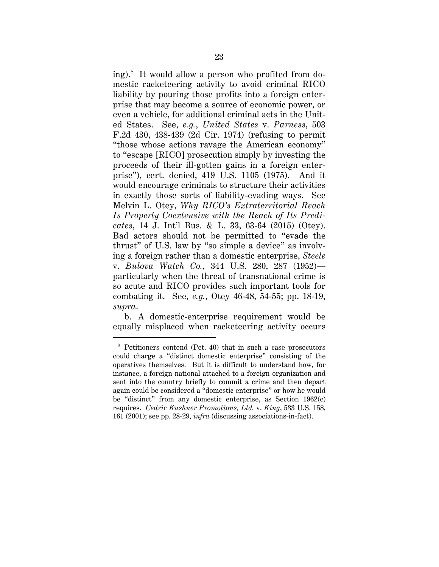ing).8 It would allow a person who profited from domestic racketeering activity to avoid criminal RICO liability by pouring those profits into a foreign enterprise that may become a source of economic power, or even a vehicle, for additional criminal acts in the United States. See, *e.g.*, *United States* v. *Parness*, 503 F.2d 430, 438-439 (2d Cir. 1974) (refusing to permit "those whose actions ravage the American economy" to "escape [RICO] prosecution simply by investing the proceeds of their ill-gotten gains in a foreign enterprise"), cert. denied, 419 U.S. 1105 (1975). And it would encourage criminals to structure their activities in exactly those sorts of liability-evading ways. See Melvin L. Otey, *Why RICO's Extraterritorial Reach Is Properly Coextensive with the Reach of Its Predicates*, 14 J. Int'l Bus. & L. 33, 63-64 (2015) (Otey). Bad actors should not be permitted to "evade the thrust" of U.S. law by "so simple a device" as involving a foreign rather than a domestic enterprise, *Steele* v. *Bulova Watch Co.*, 344 U.S. 280, 287 (1952) particularly when the threat of transnational crime is so acute and RICO provides such important tools for combating it. See, *e.g.*, Otey 46-48, 54-55; pp. 18-19, *supra*.

b. A domestic-enterprise requirement would be equally misplaced when racketeering activity occurs

 <sup>8</sup> Petitioners contend (Pet. 40) that in such a case prosecutors could charge a "distinct domestic enterprise" consisting of the operatives themselves. But it is difficult to understand how, for instance, a foreign national attached to a foreign organization and sent into the country briefly to commit a crime and then depart again could be considered a "domestic enterprise" or how he would be "distinct" from any domestic enterprise, as Section 1962(c) requires. *Cedric Kushner Promotions, Ltd.* v. *King*, 533 U.S. 158, 161 (2001); see pp. 28-29, *infra* (discussing associations-in-fact).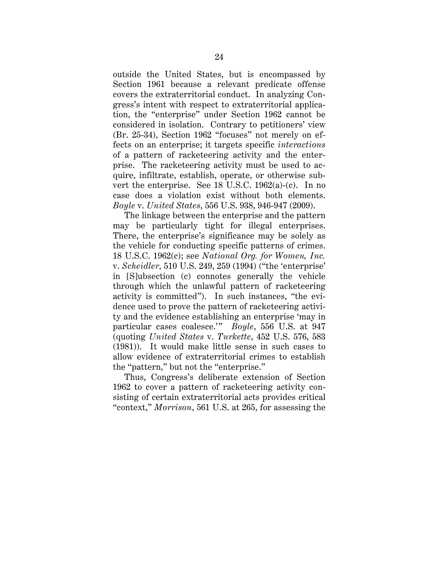outside the United States, but is encompassed by Section 1961 because a relevant predicate offense covers the extraterritorial conduct. In analyzing Congress's intent with respect to extraterritorial application, the "enterprise" under Section 1962 cannot be considered in isolation. Contrary to petitioners' view (Br. 25-34), Section 1962 "focuses" not merely on effects on an enterprise; it targets specific *interactions* of a pattern of racketeering activity and the enterprise. The racketeering activity must be used to acquire, infiltrate, establish, operate, or otherwise subvert the enterprise. See 18 U.S.C. 1962(a)-(c). In no case does a violation exist without both elements. *Boyle* v. *United States*, 556 U.S. 938, 946-947 (2009).

The linkage between the enterprise and the pattern may be particularly tight for illegal enterprises. There, the enterprise's significance may be solely as the vehicle for conducting specific patterns of crimes. 18 U.S.C. 1962(c); see *National Org. for Women, Inc.*  v. *Scheidler*, 510 U.S. 249, 259 (1994) ("the 'enterprise' in [S]ubsection (c) connotes generally the vehicle through which the unlawful pattern of racketeering activity is committed"). In such instances, "the evidence used to prove the pattern of racketeering activity and the evidence establishing an enterprise 'may in particular cases coalesce.'" *Boyle*, 556 U.S. at 947 (quoting *United States* v. *Turkette*, 452 U.S. 576, 583 (1981)). It would make little sense in such cases to allow evidence of extraterritorial crimes to establish the "pattern," but not the "enterprise."

Thus, Congress's deliberate extension of Section 1962 to cover a pattern of racketeering activity consisting of certain extraterritorial acts provides critical "context," *Morrison*, 561 U.S. at 265, for assessing the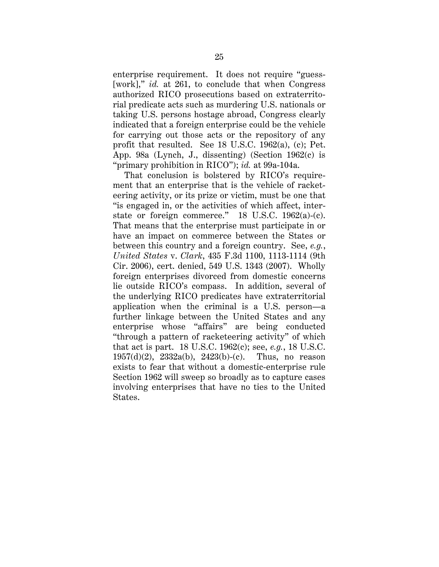enterprise requirement. It does not require "guess- [work]," *id.* at 261, to conclude that when Congress authorized RICO prosecutions based on extraterritorial predicate acts such as murdering U.S. nationals or taking U.S. persons hostage abroad, Congress clearly indicated that a foreign enterprise could be the vehicle for carrying out those acts or the repository of any profit that resulted. See 18 U.S.C. 1962(a), (c); Pet. App. 98a (Lynch, J., dissenting) (Section 1962(c) is "primary prohibition in RICO"); *id.* at 99a-104a.

That conclusion is bolstered by RICO's requirement that an enterprise that is the vehicle of racketeering activity, or its prize or victim, must be one that "is engaged in, or the activities of which affect, interstate or foreign commerce." 18 U.S.C. 1962(a)-(c). That means that the enterprise must participate in or have an impact on commerce between the States or between this country and a foreign country. See, *e.g.*, *United States* v. *Clark*, 435 F.3d 1100, 1113-1114 (9th Cir. 2006), cert. denied, 549 U.S. 1343 (2007). Wholly foreign enterprises divorced from domestic concerns lie outside RICO's compass. In addition, several of the underlying RICO predicates have extraterritorial application when the criminal is a U.S. person—a further linkage between the United States and any enterprise whose "affairs" are being conducted "through a pattern of racketeering activity" of which that act is part. 18 U.S.C. 1962(c); see, *e.g.*, 18 U.S.C. 1957(d)(2), 2332a(b), 2423(b)-(c). Thus, no reason exists to fear that without a domestic-enterprise rule Section 1962 will sweep so broadly as to capture cases involving enterprises that have no ties to the United States.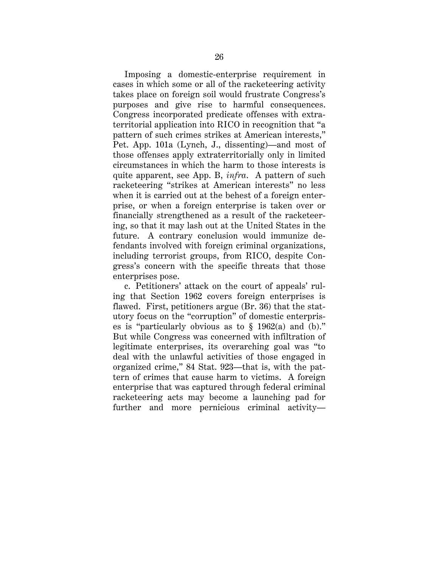Imposing a domestic-enterprise requirement in cases in which some or all of the racketeering activity takes place on foreign soil would frustrate Congress's purposes and give rise to harmful consequences. Congress incorporated predicate offenses with extraterritorial application into RICO in recognition that "a pattern of such crimes strikes at American interests," Pet. App. 101a (Lynch, J., dissenting)—and most of those offenses apply extraterritorially only in limited circumstances in which the harm to those interests is quite apparent, see App. B, *infra*. A pattern of such racketeering "strikes at American interests" no less when it is carried out at the behest of a foreign enterprise, or when a foreign enterprise is taken over or financially strengthened as a result of the racketeering, so that it may lash out at the United States in the future. A contrary conclusion would immunize defendants involved with foreign criminal organizations, including terrorist groups, from RICO, despite Congress's concern with the specific threats that those enterprises pose.

c. Petitioners' attack on the court of appeals' ruling that Section 1962 covers foreign enterprises is flawed. First, petitioners argue (Br. 36) that the statutory focus on the "corruption" of domestic enterprises is "particularly obvious as to  $\S$  1962(a) and (b)." But while Congress was concerned with infiltration of legitimate enterprises, its overarching goal was "to deal with the unlawful activities of those engaged in organized crime," 84 Stat. 923—that is, with the pattern of crimes that cause harm to victims. A foreign enterprise that was captured through federal criminal racketeering acts may become a launching pad for further and more pernicious criminal activity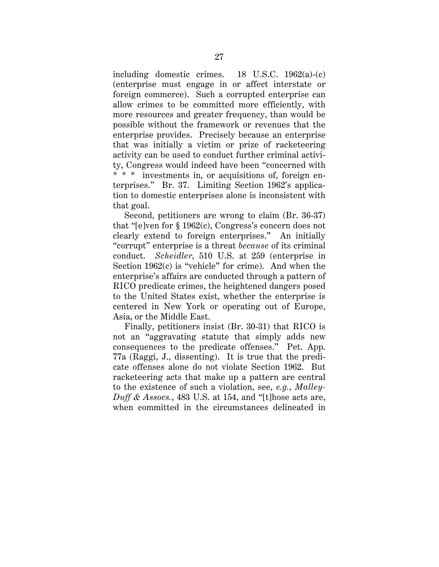including domestic crimes. 18 U.S.C. 1962(a)-(c) (enterprise must engage in or affect interstate or foreign commerce). Such a corrupted enterprise can allow crimes to be committed more efficiently, with more resources and greater frequency, than would be possible without the framework or revenues that the enterprise provides. Precisely because an enterprise that was initially a victim or prize of racketeering activity can be used to conduct further criminal activity, Congress would indeed have been "concerned with \* \* \* investments in, or acquisitions of, foreign enterprises." Br. 37. Limiting Section 1962's application to domestic enterprises alone is inconsistent with that goal.

Second, petitioners are wrong to claim (Br. 36-37) that "[e]ven for § 1962(c), Congress's concern does not clearly extend to foreign enterprises." An initially "corrupt" enterprise is a threat *because* of its criminal conduct. *Scheidler*, 510 U.S. at 259 (enterprise in Section 1962(c) is "vehicle" for crime). And when the enterprise's affairs are conducted through a pattern of RICO predicate crimes, the heightened dangers posed to the United States exist, whether the enterprise is centered in New York or operating out of Europe, Asia, or the Middle East.

Finally, petitioners insist (Br. 30-31) that RICO is not an "aggravating statute that simply adds new consequences to the predicate offenses." Pet. App. 77a (Raggi, J., dissenting). It is true that the predicate offenses alone do not violate Section 1962. But racketeering acts that make up a pattern are central to the existence of such a violation, see, *e.g.*, *Malley-Duff & Assocs.*, 483 U.S. at 154, and "[t]hose acts are, when committed in the circumstances delineated in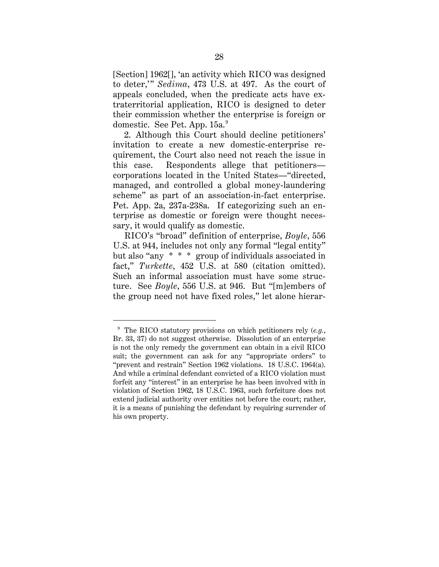[Section] 1962[], 'an activity which RICO was designed to deter,'" *Sedima*, 473 U.S. at 497. As the court of appeals concluded, when the predicate acts have extraterritorial application, RICO is designed to deter their commission whether the enterprise is foreign or domestic. See Pet. App. 15a.<sup>9</sup>

2. Although this Court should decline petitioners' invitation to create a new domestic-enterprise requirement, the Court also need not reach the issue in this case. Respondents allege that petitioners corporations located in the United States—"directed, managed, and controlled a global money-laundering scheme" as part of an association-in-fact enterprise. Pet. App. 2a, 237a-238a. If categorizing such an enterprise as domestic or foreign were thought necessary, it would qualify as domestic.

RICO's "broad" definition of enterprise, *Boyle*, 556 U.S. at 944, includes not only any formal "legal entity" but also "any \* \* \* group of individuals associated in fact," *Turkette*, 452 U.S. at 580 (citation omitted). Such an informal association must have some structure. See *Boyle*, 556 U.S. at 946. But "[m]embers of the group need not have fixed roles," let alone hierar-

 <sup>9</sup> The RICO statutory provisions on which petitioners rely (*e.g.*, Br. 33, 37) do not suggest otherwise. Dissolution of an enterprise is not the only remedy the government can obtain in a civil RICO suit; the government can ask for any "appropriate orders" to "prevent and restrain" Section 1962 violations. 18 U.S.C. 1964(a). And while a criminal defendant convicted of a RICO violation must forfeit any "interest" in an enterprise he has been involved with in violation of Section 1962, 18 U.S.C. 1963, such forfeiture does not extend judicial authority over entities not before the court; rather, it is a means of punishing the defendant by requiring surrender of his own property.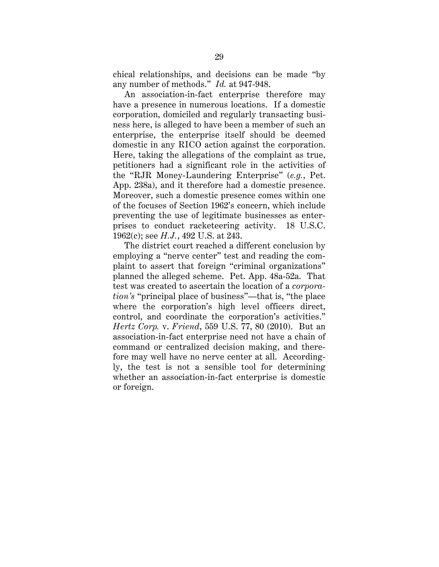chical relationships, and decisions can be made "by any number of methods." *Id.* at 947-948.

An association-in-fact enterprise therefore may have a presence in numerous locations. If a domestic corporation, domiciled and regularly transacting business here, is alleged to have been a member of such an enterprise, the enterprise itself should be deemed domestic in any RICO action against the corporation. Here, taking the allegations of the complaint as true, petitioners had a significant role in the activities of the "RJR Money-Laundering Enterprise" (*e.g.*, Pet. App. 238a), and it therefore had a domestic presence. Moreover, such a domestic presence comes within one of the focuses of Section 1962's concern, which include preventing the use of legitimate businesses as enterprises to conduct racketeering activity. 18 U.S.C. 1962(c); see *H.J.*, 492 U.S. at 243.

The district court reached a different conclusion by employing a "nerve center" test and reading the complaint to assert that foreign "criminal organizations" planned the alleged scheme. Pet. App. 48a-52a. That test was created to ascertain the location of a *corporation's* "principal place of business"—that is, "the place where the corporation's high level officers direct, control, and coordinate the corporation's activities." *Hertz Corp.* v. *Friend*, 559 U.S. 77, 80 (2010). But an association-in-fact enterprise need not have a chain of command or centralized decision making, and therefore may well have no nerve center at all. Accordingly, the test is not a sensible tool for determining whether an association-in-fact enterprise is domestic or foreign.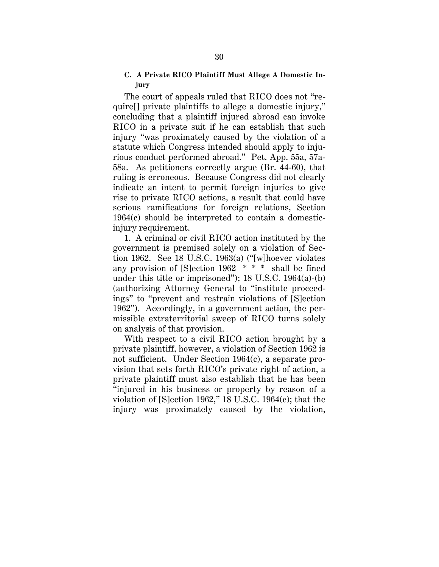### **C. A Private RICO Plaintiff Must Allege A Domestic Injury**

The court of appeals ruled that RICO does not "require[] private plaintiffs to allege a domestic injury," concluding that a plaintiff injured abroad can invoke RICO in a private suit if he can establish that such injury "was proximately caused by the violation of a statute which Congress intended should apply to injurious conduct performed abroad." Pet. App. 55a, 57a-58a. As petitioners correctly argue (Br. 44-60), that ruling is erroneous. Because Congress did not clearly indicate an intent to permit foreign injuries to give rise to private RICO actions, a result that could have serious ramifications for foreign relations, Section 1964(c) should be interpreted to contain a domesticinjury requirement.

1. A criminal or civil RICO action instituted by the government is premised solely on a violation of Section 1962. See 18 U.S.C. 1963(a) ("[w]hoever violates any provision of [S]ection 1962 \* \* \* shall be fined under this title or imprisoned"); 18 U.S.C.  $1964(a)$ -(b) (authorizing Attorney General to "institute proceedings" to "prevent and restrain violations of [S]ection 1962"). Accordingly, in a government action, the permissible extraterritorial sweep of RICO turns solely on analysis of that provision.

With respect to a civil RICO action brought by a private plaintiff, however, a violation of Section 1962 is not sufficient. Under Section 1964(c), a separate provision that sets forth RICO's private right of action, a private plaintiff must also establish that he has been "injured in his business or property by reason of a violation of [S]ection 1962," 18 U.S.C. 1964(c); that the injury was proximately caused by the violation,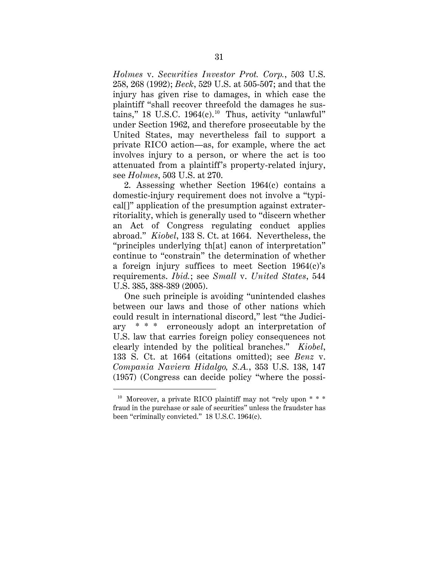*Holmes* v. *Securities Investor Prot. Corp.*, 503 U.S. 258, 268 (1992); *Beck*, 529 U.S. at 505-507; and that the injury has given rise to damages, in which case the plaintiff "shall recover threefold the damages he sustains," 18 U.S.C. 1964(c). 10 Thus, activity "unlawful" under Section 1962, and therefore prosecutable by the United States, may nevertheless fail to support a private RICO action—as, for example, where the act involves injury to a person, or where the act is too attenuated from a plaintiff's property-related injury, see *Holmes*, 503 U.S. at 270.

2. Assessing whether Section 1964(c) contains a domestic-injury requirement does not involve a "typical<sup>[]"</sup> application of the presumption against extraterritoriality, which is generally used to "discern whether an Act of Congress regulating conduct applies abroad." *Kiobel*, 133 S. Ct. at 1664. Nevertheless, the "principles underlying th[at] canon of interpretation" continue to "constrain" the determination of whether a foreign injury suffices to meet Section 1964(c)'s requirements. *Ibid.*; see *Small* v. *United States*, 544 U.S. 385, 388-389 (2005).

One such principle is avoiding "unintended clashes between our laws and those of other nations which could result in international discord," lest "the Judiciary \* \* \* erroneously adopt an interpretation of U.S. law that carries foreign policy consequences not clearly intended by the political branches." *Kiobel*, 133 S. Ct. at 1664 (citations omitted); see *Benz* v. *Compania Naviera Hidalgo, S.A.*, 353 U.S. 138, 147 (1957) (Congress can decide policy "where the possi-

<sup>&</sup>lt;sup>10</sup> Moreover, a private RICO plaintiff may not "rely upon  $**$ " fraud in the purchase or sale of securities" unless the fraudster has been "criminally convicted." 18 U.S.C. 1964(c).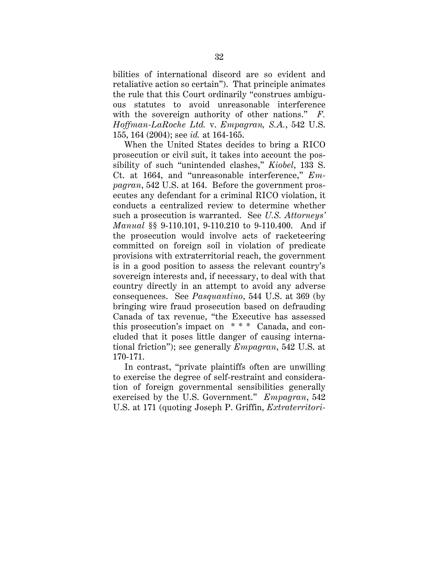bilities of international discord are so evident and retaliative action so certain"). That principle animates the rule that this Court ordinarily "construes ambiguous statutes to avoid unreasonable interference with the sovereign authority of other nations." *F. Hoffman-LaRoche Ltd.* v. *Empagran, S.A.*, 542 U.S. 155, 164 (2004); see *id.* at 164-165.

When the United States decides to bring a RICO prosecution or civil suit, it takes into account the possibility of such "unintended clashes," *Kiobel*, 133 S. Ct. at 1664, and "unreasonable interference," *Empagran*, 542 U.S. at 164. Before the government prosecutes any defendant for a criminal RICO violation, it conducts a centralized review to determine whether such a prosecution is warranted. See *U.S. Attorneys' Manual* §§ 9-110.101, 9-110.210 to 9-110.400. And if the prosecution would involve acts of racketeering committed on foreign soil in violation of predicate provisions with extraterritorial reach, the government is in a good position to assess the relevant country's sovereign interests and, if necessary, to deal with that country directly in an attempt to avoid any adverse consequences. See *Pasquantino*, 544 U.S. at 369 (by bringing wire fraud prosecution based on defrauding Canada of tax revenue, "the Executive has assessed this prosecution's impact on \* \* \* Canada, and concluded that it poses little danger of causing international friction"); see generally *Empagran*, 542 U.S. at 170-171.

In contrast, "private plaintiffs often are unwilling to exercise the degree of self-restraint and consideration of foreign governmental sensibilities generally exercised by the U.S. Government." *Empagran*, 542 U.S. at 171 (quoting Joseph P. Griffin, *Extraterritori-*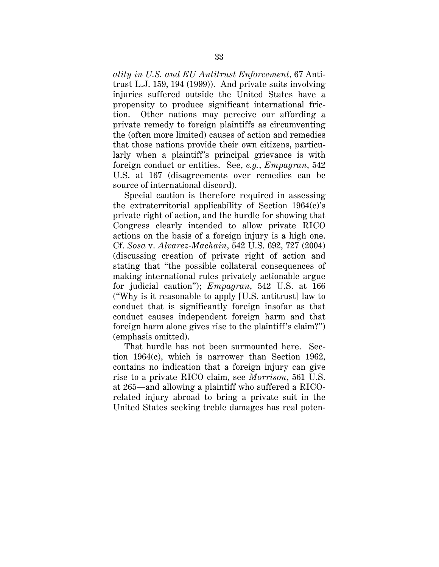*ality in U.S. and EU Antitrust Enforcement*, 67 Antitrust L.J. 159, 194 (1999)). And private suits involving injuries suffered outside the United States have a propensity to produce significant international friction. Other nations may perceive our affording a private remedy to foreign plaintiffs as circumventing the (often more limited) causes of action and remedies that those nations provide their own citizens, particularly when a plaintiff's principal grievance is with foreign conduct or entities. See, *e.g.*, *Empagran*, 542 U.S. at 167 (disagreements over remedies can be source of international discord).

Special caution is therefore required in assessing the extraterritorial applicability of Section 1964(c)'s private right of action, and the hurdle for showing that Congress clearly intended to allow private RICO actions on the basis of a foreign injury is a high one. Cf. *Sosa* v. *Alvarez-Machain*, 542 U.S. 692, 727 (2004) (discussing creation of private right of action and stating that "the possible collateral consequences of making international rules privately actionable argue for judicial caution"); *Empagran*, 542 U.S. at 166 ("Why is it reasonable to apply [U.S. antitrust] law to conduct that is significantly foreign insofar as that conduct causes independent foreign harm and that foreign harm alone gives rise to the plaintiff's claim?") (emphasis omitted).

That hurdle has not been surmounted here. Section 1964(c), which is narrower than Section 1962, contains no indication that a foreign injury can give rise to a private RICO claim, see *Morrison*, 561 U.S. at 265—and allowing a plaintiff who suffered a RICOrelated injury abroad to bring a private suit in the United States seeking treble damages has real poten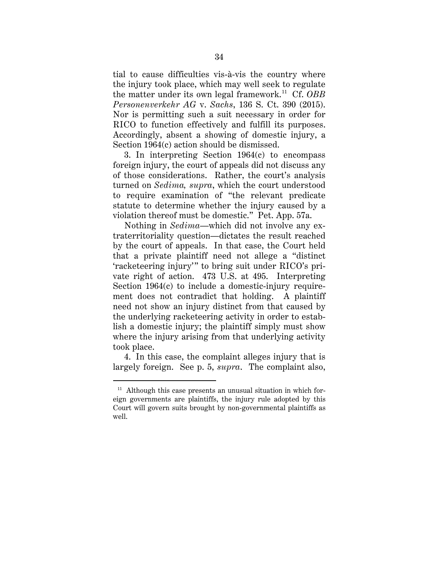tial to cause difficulties vis-à-vis the country where the injury took place, which may well seek to regulate the matter under its own legal framework. 11 Cf. *OBB Personenverkehr AG* v. *Sachs*, 136 S. Ct. 390 (2015). Nor is permitting such a suit necessary in order for RICO to function effectively and fulfill its purposes. Accordingly, absent a showing of domestic injury, a Section 1964(c) action should be dismissed.

3. In interpreting Section 1964(c) to encompass foreign injury, the court of appeals did not discuss any of those considerations. Rather, the court's analysis turned on *Sedima, supra*, which the court understood to require examination of "the relevant predicate statute to determine whether the injury caused by a violation thereof must be domestic." Pet. App. 57a.

Nothing in *Sedima—*which did not involve any extraterritoriality question*—*dictates the result reached by the court of appeals. In that case, the Court held that a private plaintiff need not allege a "distinct 'racketeering injury'" to bring suit under RICO's private right of action. 473 U.S. at 495. Interpreting Section 1964(c) to include a domestic-injury requirement does not contradict that holding. A plaintiff need not show an injury distinct from that caused by the underlying racketeering activity in order to establish a domestic injury; the plaintiff simply must show where the injury arising from that underlying activity took place.

4. In this case, the complaint alleges injury that is largely foreign. See p. 5, *supra*. The complaint also,

 $11$  Although this case presents an unusual situation in which foreign governments are plaintiffs, the injury rule adopted by this Court will govern suits brought by non-governmental plaintiffs as well.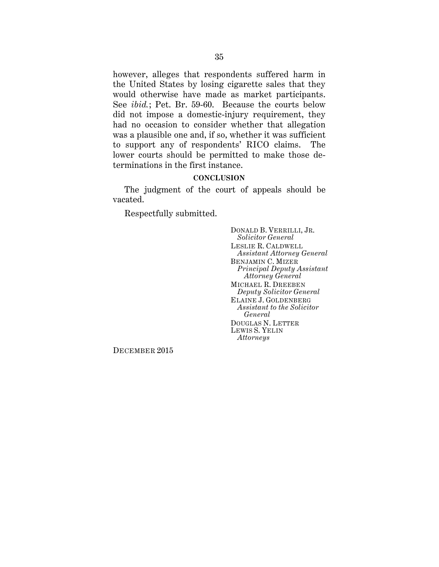however, alleges that respondents suffered harm in the United States by losing cigarette sales that they would otherwise have made as market participants. See *ibid.*; Pet. Br. 59-60.Because the courts below did not impose a domestic-injury requirement, they had no occasion to consider whether that allegation was a plausible one and, if so, whether it was sufficient to support any of respondents' RICO claims. The lower courts should be permitted to make those determinations in the first instance.

### **CONCLUSION**

The judgment of the court of appeals should be vacated.

Respectfully submitted.

DONALD B. VERRILLI, JR. *Solicitor General* LESLIE R. CALDWELL *Assistant Attorney General* BENJAMIN C. MIZER *Principal Deputy Assistant Attorney General* MICHAEL R. DREEBEN *Deputy Solicitor General* ELAINE J. GOLDENBERG *Assistant to the Solicitor General* DOUGLAS N. LETTER LEWIS S. YELIN *Attorneys*

DECEMBER 2015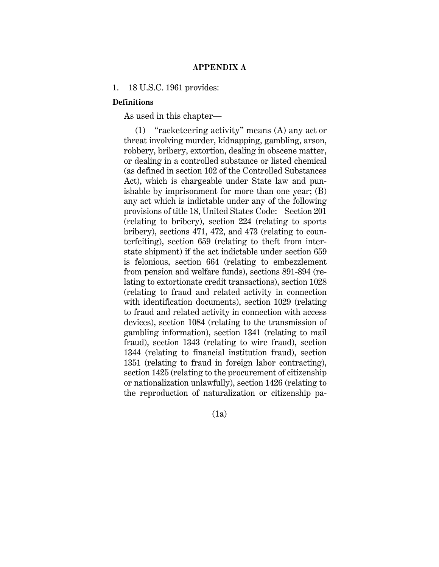### **APPENDIX A**

1. 18 U.S.C. 1961 provides:

### **Definitions**

As used in this chapter—

(1) "racketeering activity" means (A) any act or threat involving murder, kidnapping, gambling, arson, robbery, bribery, extortion, dealing in obscene matter, or dealing in a controlled substance or listed chemical (as defined in section 102 of the Controlled Substances Act), which is chargeable under State law and punishable by imprisonment for more than one year; (B) any act which is indictable under any of the following provisions of title 18, United States Code: Section 201 (relating to bribery), section 224 (relating to sports bribery), sections 471, 472, and 473 (relating to counterfeiting), section 659 (relating to theft from interstate shipment) if the act indictable under section 659 is felonious, section 664 (relating to embezzlement from pension and welfare funds), sections 891-894 (relating to extortionate credit transactions), section 1028 (relating to fraud and related activity in connection with identification documents), section 1029 (relating to fraud and related activity in connection with access devices), section 1084 (relating to the transmission of gambling information), section 1341 (relating to mail fraud), section 1343 (relating to wire fraud), section 1344 (relating to financial institution fraud), section 1351 (relating to fraud in foreign labor contracting), section 1425 (relating to the procurement of citizenship or nationalization unlawfully), section 1426 (relating to the reproduction of naturalization or citizenship pa-

(1a)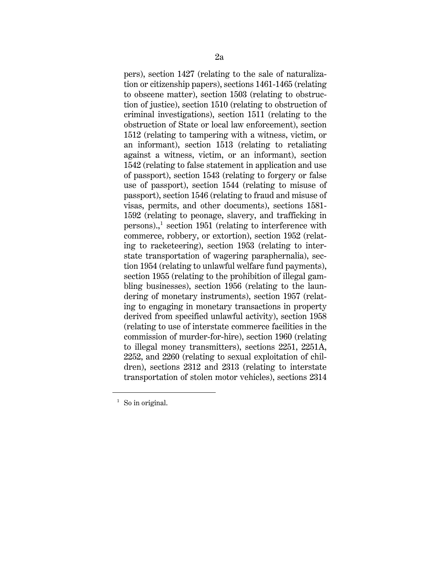pers), section 1427 (relating to the sale of naturalization or citizenship papers), sections 1461-1465 (relating to obscene matter), section 1503 (relating to obstruction of justice), section 1510 (relating to obstruction of criminal investigations), section 1511 (relating to the obstruction of State or local law enforcement), section 1512 (relating to tampering with a witness, victim, or an informant), section 1513 (relating to retaliating against a witness, victim, or an informant), section 1542 (relating to false statement in application and use of passport), section 1543 (relating to forgery or false use of passport), section 1544 (relating to misuse of passport), section 1546 (relating to fraud and misuse of visas, permits, and other documents), sections 1581- 1592 (relating to peonage, slavery, and trafficking in persons)., $\frac{1}{1}$  section 1951 (relating to interference with commerce, robbery, or extortion), section 1952 (relating to racketeering), section 1953 (relating to interstate transportation of wagering paraphernalia), section 1954 (relating to unlawful welfare fund payments), section 1955 (relating to the prohibition of illegal gambling businesses), section 1956 (relating to the laundering of monetary instruments), section 1957 (relating to engaging in monetary transactions in property derived from specified unlawful activity), section 1958 (relating to use of interstate commerce facilities in the commission of murder-for-hire), section 1960 (relating to illegal money transmitters), sections 2251, 2251A, 2252, and 2260 (relating to sexual exploitation of children), sections 2312 and 2313 (relating to interstate transportation of stolen motor vehicles), sections 2314

 $<sup>1</sup>$  So in original.</sup>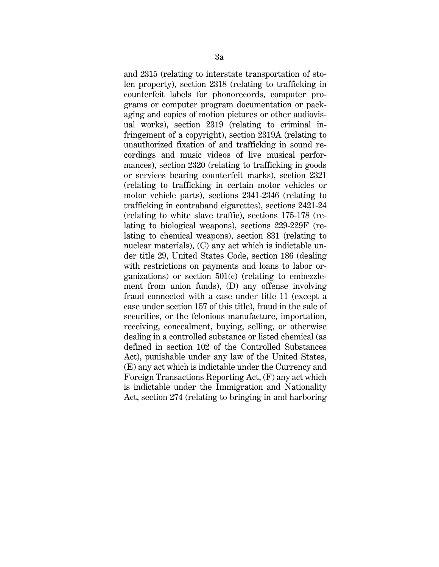and 2315 (relating to interstate transportation of stolen property), section 2318 (relating to trafficking in counterfeit labels for phonorecords, computer programs or computer program documentation or packaging and copies of motion pictures or other audiovisual works), section 2319 (relating to criminal infringement of a copyright), section 2319A (relating to unauthorized fixation of and trafficking in sound recordings and music videos of live musical performances), section 2320 (relating to trafficking in goods or services bearing counterfeit marks), section 2321 (relating to trafficking in certain motor vehicles or motor vehicle parts), sections 2341-2346 (relating to trafficking in contraband cigarettes), sections 2421-24 (relating to white slave traffic), sections 175-178 (relating to biological weapons), sections 229-229F (relating to chemical weapons), section 831 (relating to nuclear materials), (C) any act which is indictable under title 29, United States Code, section 186 (dealing with restrictions on payments and loans to labor organizations) or section 501(c) (relating to embezzlement from union funds), (D) any offense involving fraud connected with a case under title 11 (except a case under section 157 of this title), fraud in the sale of securities, or the felonious manufacture, importation, receiving, concealment, buying, selling, or otherwise dealing in a controlled substance or listed chemical (as defined in section 102 of the Controlled Substances Act), punishable under any law of the United States, (E) any act which is indictable under the Currency and Foreign Transactions Reporting Act, (F) any act which is indictable under the Immigration and Nationality Act, section 274 (relating to bringing in and harboring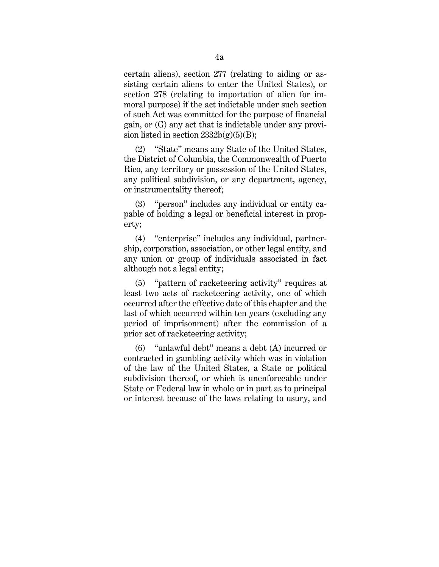certain aliens), section 277 (relating to aiding or assisting certain aliens to enter the United States), or section 278 (relating to importation of alien for immoral purpose) if the act indictable under such section of such Act was committed for the purpose of financial gain, or (G) any act that is indictable under any provision listed in section  $2332b(g)(5)(B)$ ;

(2) "State" means any State of the United States, the District of Columbia, the Commonwealth of Puerto Rico, any territory or possession of the United States, any political subdivision, or any department, agency, or instrumentality thereof;

(3) "person" includes any individual or entity capable of holding a legal or beneficial interest in property;

(4) "enterprise" includes any individual, partnership, corporation, association, or other legal entity, and any union or group of individuals associated in fact although not a legal entity;

(5) "pattern of racketeering activity" requires at least two acts of racketeering activity, one of which occurred after the effective date of this chapter and the last of which occurred within ten years (excluding any period of imprisonment) after the commission of a prior act of racketeering activity;

(6) "unlawful debt" means a debt (A) incurred or contracted in gambling activity which was in violation of the law of the United States, a State or political subdivision thereof, or which is unenforceable under State or Federal law in whole or in part as to principal or interest because of the laws relating to usury, and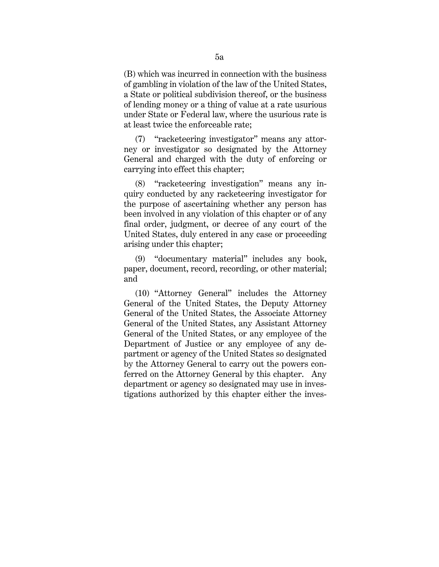(B) which was incurred in connection with the business of gambling in violation of the law of the United States, a State or political subdivision thereof, or the business of lending money or a thing of value at a rate usurious under State or Federal law, where the usurious rate is at least twice the enforceable rate;

(7) "racketeering investigator" means any attorney or investigator so designated by the Attorney General and charged with the duty of enforcing or carrying into effect this chapter;

(8) "racketeering investigation" means any inquiry conducted by any racketeering investigator for the purpose of ascertaining whether any person has been involved in any violation of this chapter or of any final order, judgment, or decree of any court of the United States, duly entered in any case or proceeding arising under this chapter;

(9) "documentary material" includes any book, paper, document, record, recording, or other material; and

(10) "Attorney General" includes the Attorney General of the United States, the Deputy Attorney General of the United States, the Associate Attorney General of the United States, any Assistant Attorney General of the United States, or any employee of the Department of Justice or any employee of any department or agency of the United States so designated by the Attorney General to carry out the powers conferred on the Attorney General by this chapter. Any department or agency so designated may use in investigations authorized by this chapter either the inves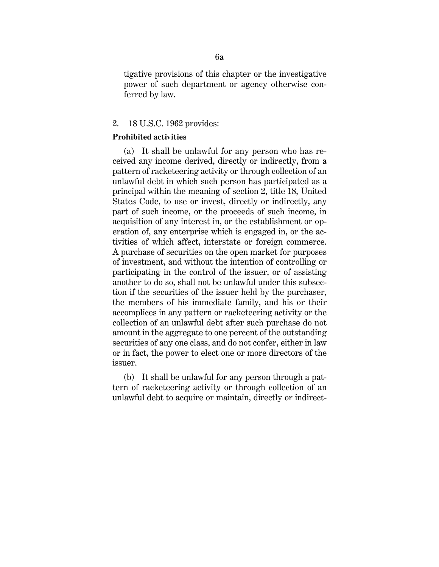tigative provisions of this chapter or the investigative power of such department or agency otherwise conferred by law.

### 2. 18 U.S.C. 1962 provides:

### **Prohibited activities**

(a) It shall be unlawful for any person who has received any income derived, directly or indirectly, from a pattern of racketeering activity or through collection of an unlawful debt in which such person has participated as a principal within the meaning of section 2, title 18, United States Code, to use or invest, directly or indirectly, any part of such income, or the proceeds of such income, in acquisition of any interest in, or the establishment or operation of, any enterprise which is engaged in, or the activities of which affect, interstate or foreign commerce. A purchase of securities on the open market for purposes of investment, and without the intention of controlling or participating in the control of the issuer, or of assisting another to do so, shall not be unlawful under this subsection if the securities of the issuer held by the purchaser, the members of his immediate family, and his or their accomplices in any pattern or racketeering activity or the collection of an unlawful debt after such purchase do not amount in the aggregate to one percent of the outstanding securities of any one class, and do not confer, either in law or in fact, the power to elect one or more directors of the issuer.

(b) It shall be unlawful for any person through a pattern of racketeering activity or through collection of an unlawful debt to acquire or maintain, directly or indirect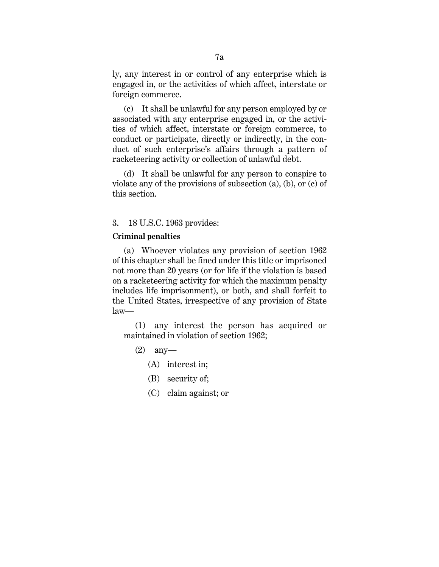ly, any interest in or control of any enterprise which is engaged in, or the activities of which affect, interstate or foreign commerce.

(c) It shall be unlawful for any person employed by or associated with any enterprise engaged in, or the activities of which affect, interstate or foreign commerce, to conduct or participate, directly or indirectly, in the conduct of such enterprise's affairs through a pattern of racketeering activity or collection of unlawful debt.

(d) It shall be unlawful for any person to conspire to violate any of the provisions of subsection (a), (b), or (c) of this section.

### 3. 18 U.S.C. 1963 provides:

### **Criminal penalties**

(a) Whoever violates any provision of section 1962 of this chapter shall be fined under this title or imprisoned not more than 20 years (or for life if the violation is based on a racketeering activity for which the maximum penalty includes life imprisonment), or both, and shall forfeit to the United States, irrespective of any provision of State law—

(1) any interest the person has acquired or maintained in violation of section 1962;

- (2) any—
	- (A) interest in;
	- (B) security of;
	- (C) claim against; or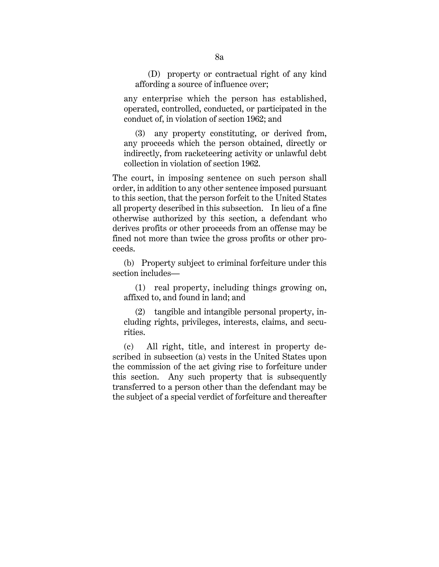(D) property or contractual right of any kind affording a source of influence over;

any enterprise which the person has established, operated, controlled, conducted, or participated in the conduct of, in violation of section 1962; and

(3) any property constituting, or derived from, any proceeds which the person obtained, directly or indirectly, from racketeering activity or unlawful debt collection in violation of section 1962.

The court, in imposing sentence on such person shall order, in addition to any other sentence imposed pursuant to this section, that the person forfeit to the United States all property described in this subsection. In lieu of a fine otherwise authorized by this section, a defendant who derives profits or other proceeds from an offense may be fined not more than twice the gross profits or other proceeds.

(b) Property subject to criminal forfeiture under this section includes—

(1) real property, including things growing on, affixed to, and found in land; and

(2) tangible and intangible personal property, including rights, privileges, interests, claims, and securities.

(c) All right, title, and interest in property described in subsection (a) vests in the United States upon the commission of the act giving rise to forfeiture under this section. Any such property that is subsequently transferred to a person other than the defendant may be the subject of a special verdict of forfeiture and thereafter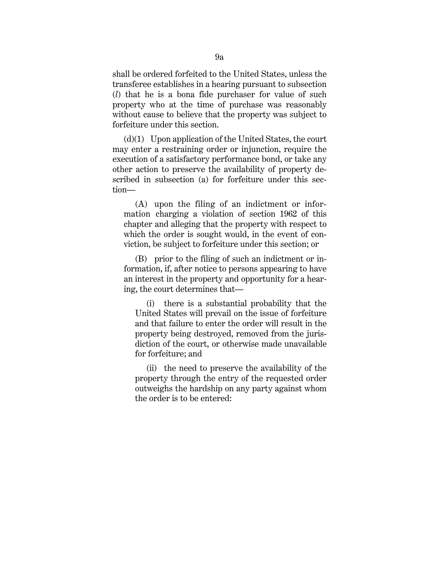shall be ordered forfeited to the United States, unless the transferee establishes in a hearing pursuant to subsection (*l*) that he is a bona fide purchaser for value of such property who at the time of purchase was reasonably without cause to believe that the property was subject to forfeiture under this section.

 $(d)(1)$  Upon application of the United States, the court may enter a restraining order or injunction, require the execution of a satisfactory performance bond, or take any other action to preserve the availability of property described in subsection (a) for forfeiture under this section—

(A) upon the filing of an indictment or information charging a violation of section 1962 of this chapter and alleging that the property with respect to which the order is sought would, in the event of conviction, be subject to forfeiture under this section; or

(B) prior to the filing of such an indictment or information, if, after notice to persons appearing to have an interest in the property and opportunity for a hearing, the court determines that—

(i) there is a substantial probability that the United States will prevail on the issue of forfeiture and that failure to enter the order will result in the property being destroyed, removed from the jurisdiction of the court, or otherwise made unavailable for forfeiture; and

(ii) the need to preserve the availability of the property through the entry of the requested order outweighs the hardship on any party against whom the order is to be entered: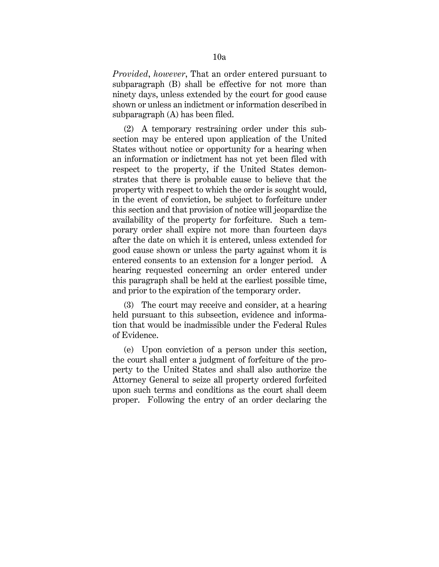*Provided*, *however*, That an order entered pursuant to subparagraph (B) shall be effective for not more than ninety days, unless extended by the court for good cause shown or unless an indictment or information described in subparagraph (A) has been filed.

(2) A temporary restraining order under this subsection may be entered upon application of the United States without notice or opportunity for a hearing when an information or indictment has not yet been filed with respect to the property, if the United States demonstrates that there is probable cause to believe that the property with respect to which the order is sought would, in the event of conviction, be subject to forfeiture under this section and that provision of notice will jeopardize the availability of the property for forfeiture. Such a temporary order shall expire not more than fourteen days after the date on which it is entered, unless extended for good cause shown or unless the party against whom it is entered consents to an extension for a longer period. A hearing requested concerning an order entered under this paragraph shall be held at the earliest possible time, and prior to the expiration of the temporary order.

(3) The court may receive and consider, at a hearing held pursuant to this subsection, evidence and information that would be inadmissible under the Federal Rules of Evidence.

(e) Upon conviction of a person under this section, the court shall enter a judgment of forfeiture of the property to the United States and shall also authorize the Attorney General to seize all property ordered forfeited upon such terms and conditions as the court shall deem proper. Following the entry of an order declaring the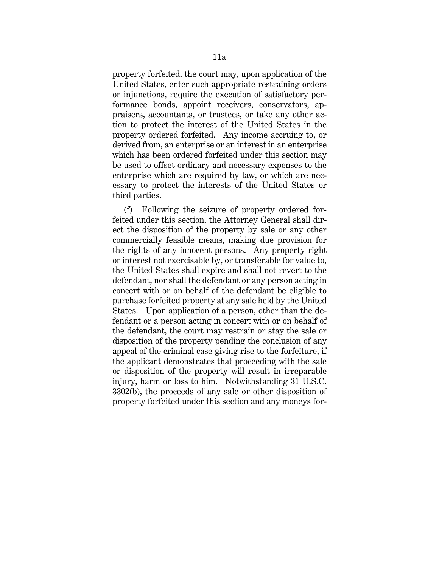property forfeited, the court may, upon application of the United States, enter such appropriate restraining orders or injunctions, require the execution of satisfactory performance bonds, appoint receivers, conservators, appraisers, accountants, or trustees, or take any other action to protect the interest of the United States in the property ordered forfeited. Any income accruing to, or derived from, an enterprise or an interest in an enterprise which has been ordered forfeited under this section may be used to offset ordinary and necessary expenses to the enterprise which are required by law, or which are necessary to protect the interests of the United States or third parties.

(f) Following the seizure of property ordered forfeited under this section, the Attorney General shall direct the disposition of the property by sale or any other commercially feasible means, making due provision for the rights of any innocent persons. Any property right or interest not exercisable by, or transferable for value to, the United States shall expire and shall not revert to the defendant, nor shall the defendant or any person acting in concert with or on behalf of the defendant be eligible to purchase forfeited property at any sale held by the United States. Upon application of a person, other than the defendant or a person acting in concert with or on behalf of the defendant, the court may restrain or stay the sale or disposition of the property pending the conclusion of any appeal of the criminal case giving rise to the forfeiture, if the applicant demonstrates that proceeding with the sale or disposition of the property will result in irreparable injury, harm or loss to him. Notwithstanding 31 U.S.C. 3302(b), the proceeds of any sale or other disposition of property forfeited under this section and any moneys for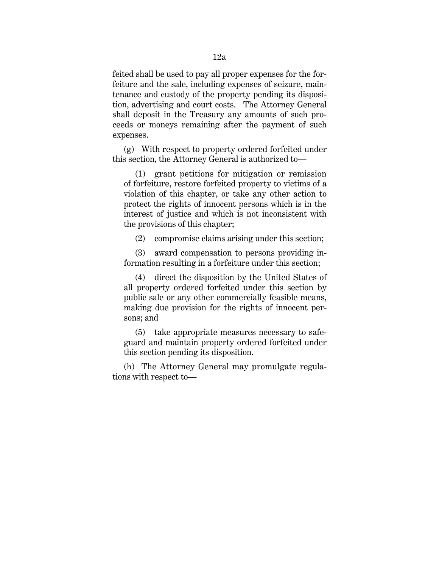feited shall be used to pay all proper expenses for the forfeiture and the sale, including expenses of seizure, maintenance and custody of the property pending its disposition, advertising and court costs. The Attorney General shall deposit in the Treasury any amounts of such proceeds or moneys remaining after the payment of such expenses.

(g) With respect to property ordered forfeited under this section, the Attorney General is authorized to—

(1) grant petitions for mitigation or remission of forfeiture, restore forfeited property to victims of a violation of this chapter, or take any other action to protect the rights of innocent persons which is in the interest of justice and which is not inconsistent with the provisions of this chapter;

(2) compromise claims arising under this section;

(3) award compensation to persons providing information resulting in a forfeiture under this section;

(4) direct the disposition by the United States of all property ordered forfeited under this section by public sale or any other commercially feasible means, making due provision for the rights of innocent persons; and

(5) take appropriate measures necessary to safeguard and maintain property ordered forfeited under this section pending its disposition.

(h) The Attorney General may promulgate regulations with respect to—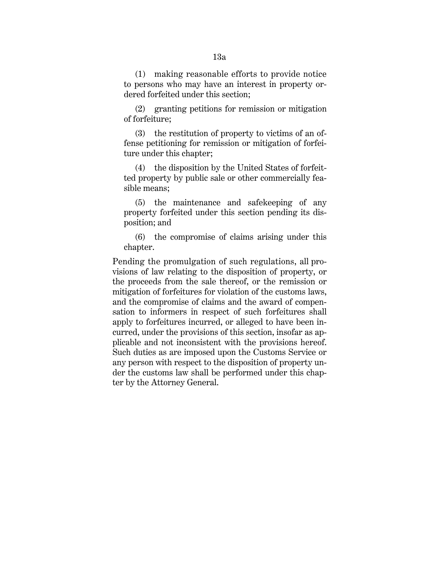(1) making reasonable efforts to provide notice to persons who may have an interest in property ordered forfeited under this section;

(2) granting petitions for remission or mitigation of forfeiture;

(3) the restitution of property to victims of an offense petitioning for remission or mitigation of forfeiture under this chapter;

(4) the disposition by the United States of forfeitted property by public sale or other commercially feasible means;

(5) the maintenance and safekeeping of any property forfeited under this section pending its disposition; and

(6) the compromise of claims arising under this chapter.

Pending the promulgation of such regulations, all provisions of law relating to the disposition of property, or the proceeds from the sale thereof, or the remission or mitigation of forfeitures for violation of the customs laws, and the compromise of claims and the award of compensation to informers in respect of such forfeitures shall apply to forfeitures incurred, or alleged to have been incurred, under the provisions of this section, insofar as applicable and not inconsistent with the provisions hereof. Such duties as are imposed upon the Customs Service or any person with respect to the disposition of property under the customs law shall be performed under this chapter by the Attorney General.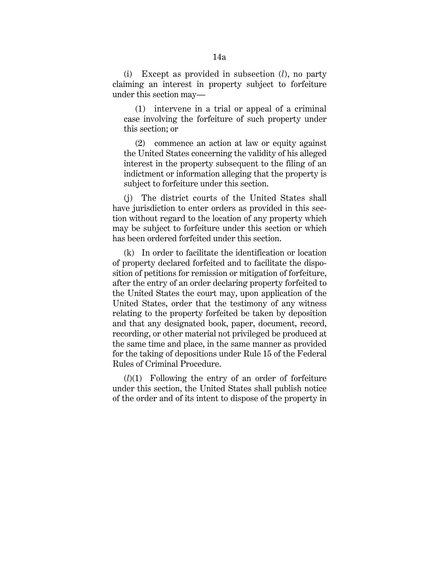(i) Except as provided in subsection (*l*), no party claiming an interest in property subject to forfeiture under this section may—

(1) intervene in a trial or appeal of a criminal case involving the forfeiture of such property under this section; or

(2) commence an action at law or equity against the United States concerning the validity of his alleged interest in the property subsequent to the filing of an indictment or information alleging that the property is subject to forfeiture under this section.

(j) The district courts of the United States shall have jurisdiction to enter orders as provided in this section without regard to the location of any property which may be subject to forfeiture under this section or which has been ordered forfeited under this section.

(k) In order to facilitate the identification or location of property declared forfeited and to facilitate the disposition of petitions for remission or mitigation of forfeiture, after the entry of an order declaring property forfeited to the United States the court may, upon application of the United States, order that the testimony of any witness relating to the property forfeited be taken by deposition and that any designated book, paper, document, record, recording, or other material not privileged be produced at the same time and place, in the same manner as provided for the taking of depositions under Rule 15 of the Federal Rules of Criminal Procedure.

(*l*)(1) Following the entry of an order of forfeiture under this section, the United States shall publish notice of the order and of its intent to dispose of the property in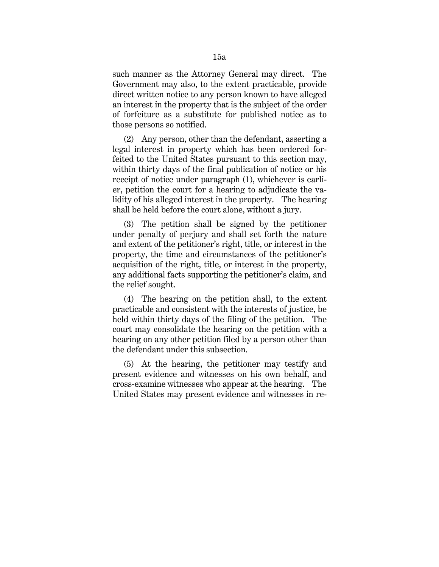such manner as the Attorney General may direct. The Government may also, to the extent practicable, provide direct written notice to any person known to have alleged an interest in the property that is the subject of the order of forfeiture as a substitute for published notice as to those persons so notified.

(2) Any person, other than the defendant, asserting a legal interest in property which has been ordered forfeited to the United States pursuant to this section may, within thirty days of the final publication of notice or his receipt of notice under paragraph (1), whichever is earlier, petition the court for a hearing to adjudicate the validity of his alleged interest in the property. The hearing shall be held before the court alone, without a jury.

(3) The petition shall be signed by the petitioner under penalty of perjury and shall set forth the nature and extent of the petitioner's right, title, or interest in the property, the time and circumstances of the petitioner's acquisition of the right, title, or interest in the property, any additional facts supporting the petitioner's claim, and the relief sought.

(4) The hearing on the petition shall, to the extent practicable and consistent with the interests of justice, be held within thirty days of the filing of the petition. The court may consolidate the hearing on the petition with a hearing on any other petition filed by a person other than the defendant under this subsection.

(5) At the hearing, the petitioner may testify and present evidence and witnesses on his own behalf, and cross-examine witnesses who appear at the hearing. The United States may present evidence and witnesses in re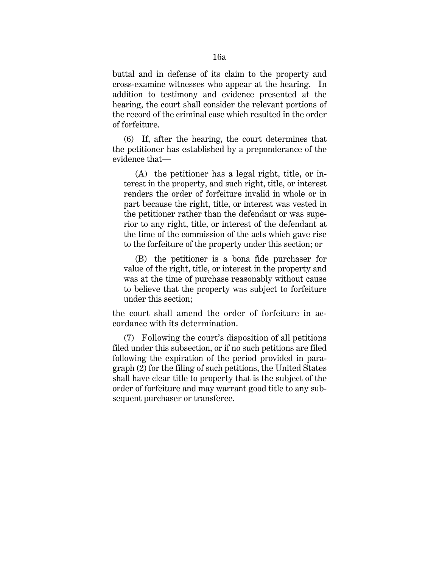buttal and in defense of its claim to the property and cross-examine witnesses who appear at the hearing. In addition to testimony and evidence presented at the hearing, the court shall consider the relevant portions of the record of the criminal case which resulted in the order of forfeiture.

(6) If, after the hearing, the court determines that the petitioner has established by a preponderance of the evidence that—

(A) the petitioner has a legal right, title, or interest in the property, and such right, title, or interest renders the order of forfeiture invalid in whole or in part because the right, title, or interest was vested in the petitioner rather than the defendant or was superior to any right, title, or interest of the defendant at the time of the commission of the acts which gave rise to the forfeiture of the property under this section; or

(B) the petitioner is a bona fide purchaser for value of the right, title, or interest in the property and was at the time of purchase reasonably without cause to believe that the property was subject to forfeiture under this section;

the court shall amend the order of forfeiture in accordance with its determination.

(7) Following the court's disposition of all petitions filed under this subsection, or if no such petitions are filed following the expiration of the period provided in paragraph (2) for the filing of such petitions, the United States shall have clear title to property that is the subject of the order of forfeiture and may warrant good title to any subsequent purchaser or transferee.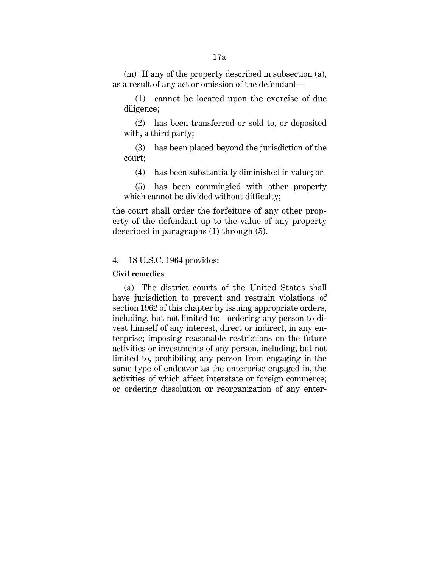(m) If any of the property described in subsection (a), as a result of any act or omission of the defendant—

(1) cannot be located upon the exercise of due diligence;

(2) has been transferred or sold to, or deposited with, a third party;

(3) has been placed beyond the jurisdiction of the court;

(4) has been substantially diminished in value; or

(5) has been commingled with other property which cannot be divided without difficulty;

the court shall order the forfeiture of any other property of the defendant up to the value of any property described in paragraphs (1) through (5).

### 4. 18 U.S.C. 1964 provides:

### **Civil remedies**

(a) The district courts of the United States shall have jurisdiction to prevent and restrain violations of section 1962 of this chapter by issuing appropriate orders, including, but not limited to: ordering any person to divest himself of any interest, direct or indirect, in any enterprise; imposing reasonable restrictions on the future activities or investments of any person, including, but not limited to, prohibiting any person from engaging in the same type of endeavor as the enterprise engaged in, the activities of which affect interstate or foreign commerce; or ordering dissolution or reorganization of any enter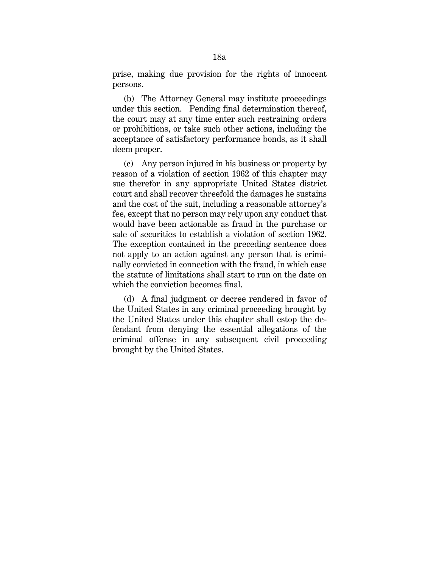prise, making due provision for the rights of innocent persons.

(b) The Attorney General may institute proceedings under this section. Pending final determination thereof, the court may at any time enter such restraining orders or prohibitions, or take such other actions, including the acceptance of satisfactory performance bonds, as it shall deem proper.

(c) Any person injured in his business or property by reason of a violation of section 1962 of this chapter may sue therefor in any appropriate United States district court and shall recover threefold the damages he sustains and the cost of the suit, including a reasonable attorney's fee, except that no person may rely upon any conduct that would have been actionable as fraud in the purchase or sale of securities to establish a violation of section 1962. The exception contained in the preceding sentence does not apply to an action against any person that is criminally convicted in connection with the fraud, in which case the statute of limitations shall start to run on the date on which the conviction becomes final.

(d) A final judgment or decree rendered in favor of the United States in any criminal proceeding brought by the United States under this chapter shall estop the defendant from denying the essential allegations of the criminal offense in any subsequent civil proceeding brought by the United States.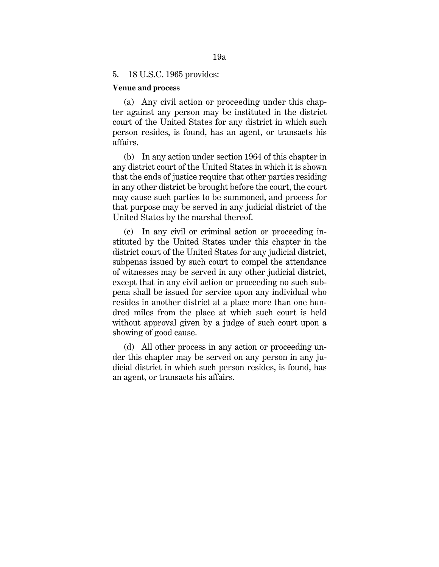### 5. 18 U.S.C. 1965 provides:

#### **Venue and process**

(a) Any civil action or proceeding under this chapter against any person may be instituted in the district court of the United States for any district in which such person resides, is found, has an agent, or transacts his affairs.

(b) In any action under section 1964 of this chapter in any district court of the United States in which it is shown that the ends of justice require that other parties residing in any other district be brought before the court, the court may cause such parties to be summoned, and process for that purpose may be served in any judicial district of the United States by the marshal thereof.

(c) In any civil or criminal action or proceeding instituted by the United States under this chapter in the district court of the United States for any judicial district, subpenas issued by such court to compel the attendance of witnesses may be served in any other judicial district, except that in any civil action or proceeding no such subpena shall be issued for service upon any individual who resides in another district at a place more than one hundred miles from the place at which such court is held without approval given by a judge of such court upon a showing of good cause.

(d) All other process in any action or proceeding under this chapter may be served on any person in any judicial district in which such person resides, is found, has an agent, or transacts his affairs.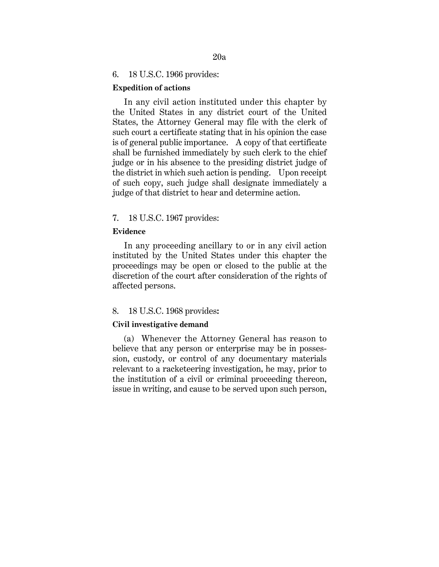### 6. 18 U.S.C. 1966 provides:

#### **Expedition of actions**

In any civil action instituted under this chapter by the United States in any district court of the United States, the Attorney General may file with the clerk of such court a certificate stating that in his opinion the case is of general public importance. A copy of that certificate shall be furnished immediately by such clerk to the chief judge or in his absence to the presiding district judge of the district in which such action is pending. Upon receipt of such copy, such judge shall designate immediately a judge of that district to hear and determine action.

### 7. 18 U.S.C. 1967 provides:

## **Evidence**

In any proceeding ancillary to or in any civil action instituted by the United States under this chapter the proceedings may be open or closed to the public at the discretion of the court after consideration of the rights of affected persons.

### 8. 18 U.S.C. 1968 provides**:**

#### **Civil investigative demand**

(a) Whenever the Attorney General has reason to believe that any person or enterprise may be in possession, custody, or control of any documentary materials relevant to a racketeering investigation, he may, prior to the institution of a civil or criminal proceeding thereon, issue in writing, and cause to be served upon such person,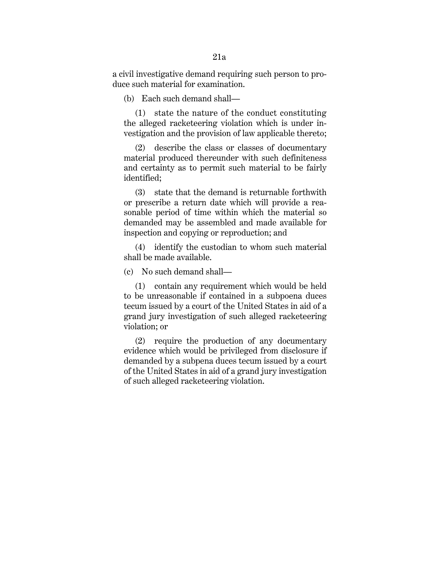a civil investigative demand requiring such person to produce such material for examination.

(b) Each such demand shall—

(1) state the nature of the conduct constituting the alleged racketeering violation which is under investigation and the provision of law applicable thereto;

(2) describe the class or classes of documentary material produced thereunder with such definiteness and certainty as to permit such material to be fairly identified;

(3) state that the demand is returnable forthwith or prescribe a return date which will provide a reasonable period of time within which the material so demanded may be assembled and made available for inspection and copying or reproduction; and

(4) identify the custodian to whom such material shall be made available.

(c) No such demand shall—

(1) contain any requirement which would be held to be unreasonable if contained in a subpoena duces tecum issued by a court of the United States in aid of a grand jury investigation of such alleged racketeering violation; or

(2) require the production of any documentary evidence which would be privileged from disclosure if demanded by a subpena duces tecum issued by a court of the United States in aid of a grand jury investigation of such alleged racketeering violation.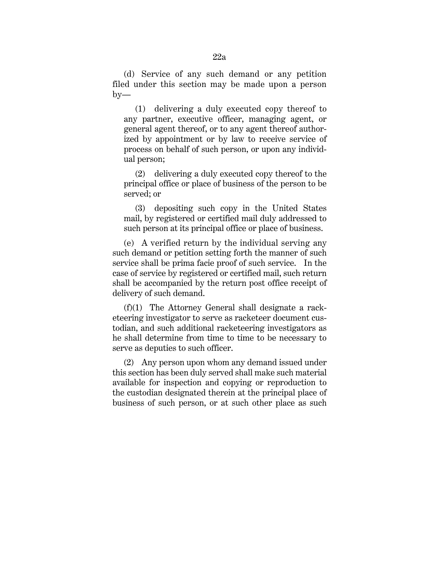(d) Service of any such demand or any petition filed under this section may be made upon a person by—

(1) delivering a duly executed copy thereof to any partner, executive officer, managing agent, or general agent thereof, or to any agent thereof authorized by appointment or by law to receive service of process on behalf of such person, or upon any individual person;

(2) delivering a duly executed copy thereof to the principal office or place of business of the person to be served; or

(3) depositing such copy in the United States mail, by registered or certified mail duly addressed to such person at its principal office or place of business.

(e) A verified return by the individual serving any such demand or petition setting forth the manner of such service shall be prima facie proof of such service. In the case of service by registered or certified mail, such return shall be accompanied by the return post office receipt of delivery of such demand.

(f)(1) The Attorney General shall designate a racketeering investigator to serve as racketeer document custodian, and such additional racketeering investigators as he shall determine from time to time to be necessary to serve as deputies to such officer.

(2) Any person upon whom any demand issued under this section has been duly served shall make such material available for inspection and copying or reproduction to the custodian designated therein at the principal place of business of such person, or at such other place as such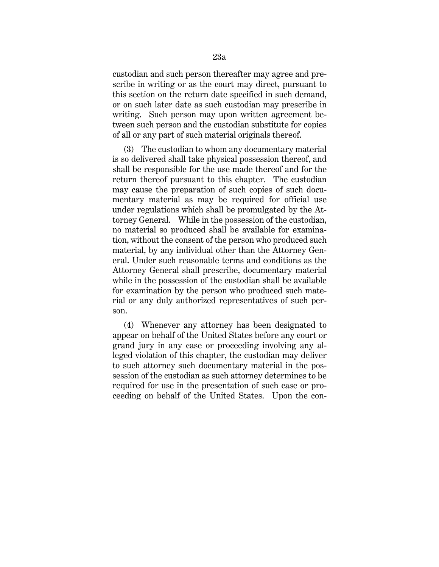custodian and such person thereafter may agree and prescribe in writing or as the court may direct, pursuant to this section on the return date specified in such demand, or on such later date as such custodian may prescribe in writing. Such person may upon written agreement between such person and the custodian substitute for copies of all or any part of such material originals thereof.

(3) The custodian to whom any documentary material is so delivered shall take physical possession thereof, and shall be responsible for the use made thereof and for the return thereof pursuant to this chapter. The custodian may cause the preparation of such copies of such documentary material as may be required for official use under regulations which shall be promulgated by the Attorney General. While in the possession of the custodian, no material so produced shall be available for examination, without the consent of the person who produced such material, by any individual other than the Attorney General. Under such reasonable terms and conditions as the Attorney General shall prescribe, documentary material while in the possession of the custodian shall be available for examination by the person who produced such material or any duly authorized representatives of such person.

(4) Whenever any attorney has been designated to appear on behalf of the United States before any court or grand jury in any case or proceeding involving any alleged violation of this chapter, the custodian may deliver to such attorney such documentary material in the possession of the custodian as such attorney determines to be required for use in the presentation of such case or proceeding on behalf of the United States. Upon the con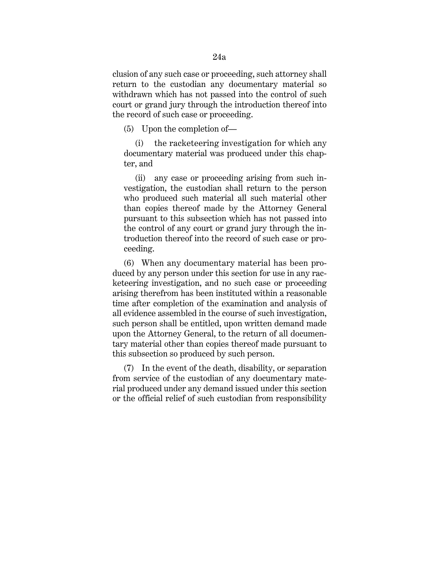clusion of any such case or proceeding, such attorney shall return to the custodian any documentary material so withdrawn which has not passed into the control of such court or grand jury through the introduction thereof into the record of such case or proceeding.

(5) Upon the completion of—

(i) the racketeering investigation for which any documentary material was produced under this chapter, and

(ii) any case or proceeding arising from such investigation, the custodian shall return to the person who produced such material all such material other than copies thereof made by the Attorney General pursuant to this subsection which has not passed into the control of any court or grand jury through the introduction thereof into the record of such case or proceeding.

(6) When any documentary material has been produced by any person under this section for use in any racketeering investigation, and no such case or proceeding arising therefrom has been instituted within a reasonable time after completion of the examination and analysis of all evidence assembled in the course of such investigation, such person shall be entitled, upon written demand made upon the Attorney General, to the return of all documentary material other than copies thereof made pursuant to this subsection so produced by such person.

(7) In the event of the death, disability, or separation from service of the custodian of any documentary material produced under any demand issued under this section or the official relief of such custodian from responsibility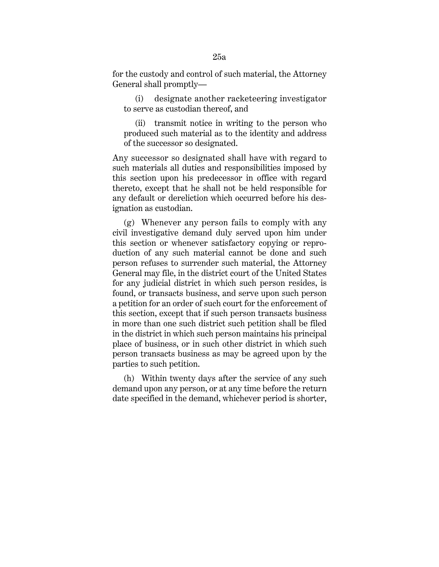for the custody and control of such material, the Attorney General shall promptly—

(i) designate another racketeering investigator to serve as custodian thereof, and

(ii) transmit notice in writing to the person who produced such material as to the identity and address of the successor so designated.

Any successor so designated shall have with regard to such materials all duties and responsibilities imposed by this section upon his predecessor in office with regard thereto, except that he shall not be held responsible for any default or dereliction which occurred before his designation as custodian.

(g) Whenever any person fails to comply with any civil investigative demand duly served upon him under this section or whenever satisfactory copying or reproduction of any such material cannot be done and such person refuses to surrender such material, the Attorney General may file, in the district court of the United States for any judicial district in which such person resides, is found, or transacts business, and serve upon such person a petition for an order of such court for the enforcement of this section, except that if such person transacts business in more than one such district such petition shall be filed in the district in which such person maintains his principal place of business, or in such other district in which such person transacts business as may be agreed upon by the parties to such petition.

(h) Within twenty days after the service of any such demand upon any person, or at any time before the return date specified in the demand, whichever period is shorter,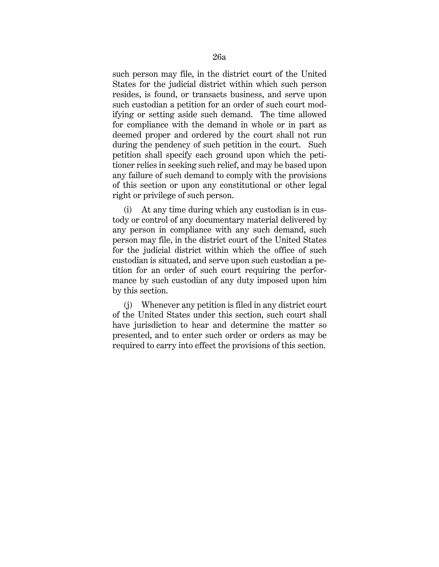such person may file, in the district court of the United States for the judicial district within which such person resides, is found, or transacts business, and serve upon such custodian a petition for an order of such court modifying or setting aside such demand. The time allowed for compliance with the demand in whole or in part as deemed proper and ordered by the court shall not run during the pendency of such petition in the court. Such petition shall specify each ground upon which the petitioner relies in seeking such relief, and may be based upon any failure of such demand to comply with the provisions of this section or upon any constitutional or other legal right or privilege of such person.

(i) At any time during which any custodian is in custody or control of any documentary material delivered by any person in compliance with any such demand, such person may file, in the district court of the United States for the judicial district within which the office of such custodian is situated, and serve upon such custodian a petition for an order of such court requiring the performance by such custodian of any duty imposed upon him by this section.

(j) Whenever any petition is filed in any district court of the United States under this section, such court shall have jurisdiction to hear and determine the matter so presented, and to enter such order or orders as may be required to carry into effect the provisions of this section.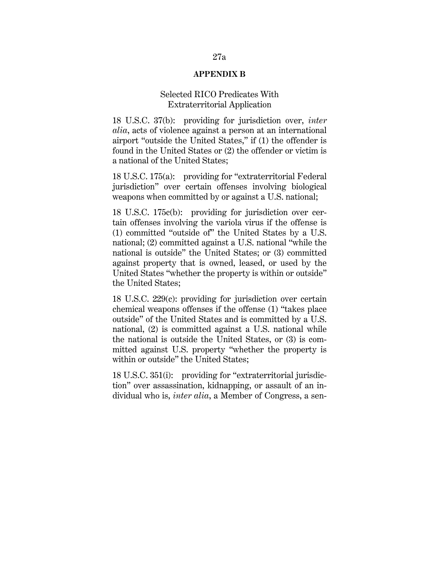### **APPENDIX B**

# Selected RICO Predicates With Extraterritorial Application

18 U.S.C. 37(b): providing for jurisdiction over, *inter alia*, acts of violence against a person at an international airport "outside the United States," if (1) the offender is found in the United States or (2) the offender or victim is a national of the United States;

18 U.S.C. 175(a): providing for "extraterritorial Federal jurisdiction" over certain offenses involving biological weapons when committed by or against a U.S. national;

18 U.S.C. 175c(b): providing for jurisdiction over certain offenses involving the variola virus if the offense is (1) committed "outside of" the United States by a U.S. national; (2) committed against a U.S. national "while the national is outside" the United States; or (3) committed against property that is owned, leased, or used by the United States "whether the property is within or outside" the United States;

18 U.S.C. 229(c): providing for jurisdiction over certain chemical weapons offenses if the offense (1) "takes place outside" of the United States and is committed by a U.S. national, (2) is committed against a U.S. national while the national is outside the United States, or (3) is committed against U.S. property "whether the property is within or outside" the United States;

18 U.S.C. 351(i): providing for "extraterritorial jurisdiction" over assassination, kidnapping, or assault of an individual who is, *inter alia*, a Member of Congress, a sen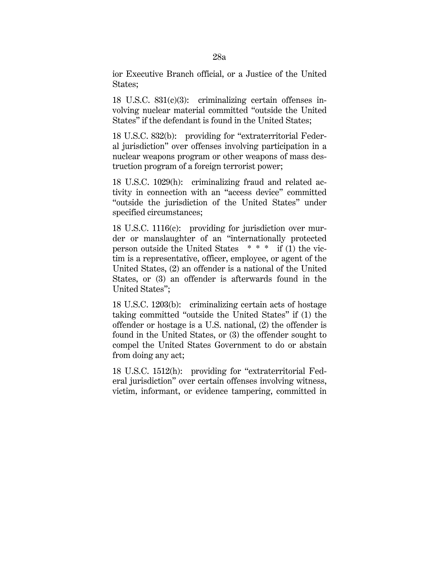ior Executive Branch official, or a Justice of the United States;

18 U.S.C. 831(c)(3): criminalizing certain offenses involving nuclear material committed "outside the United States" if the defendant is found in the United States;

18 U.S.C. 832(b): providing for "extraterritorial Federal jurisdiction" over offenses involving participation in a nuclear weapons program or other weapons of mass destruction program of a foreign terrorist power;

18 U.S.C. 1029(h): criminalizing fraud and related activity in connection with an "access device" committed "outside the jurisdiction of the United States" under specified circumstances;

18 U.S.C. 1116(c): providing for jurisdiction over murder or manslaughter of an "internationally protected person outside the United States  $***$  if (1) the victim is a representative, officer, employee, or agent of the United States, (2) an offender is a national of the United States, or (3) an offender is afterwards found in the United States";

18 U.S.C. 1203(b): criminalizing certain acts of hostage taking committed "outside the United States" if (1) the offender or hostage is a U.S. national, (2) the offender is found in the United States, or (3) the offender sought to compel the United States Government to do or abstain from doing any act;

18 U.S.C. 1512(h): providing for "extraterritorial Federal jurisdiction" over certain offenses involving witness, victim, informant, or evidence tampering, committed in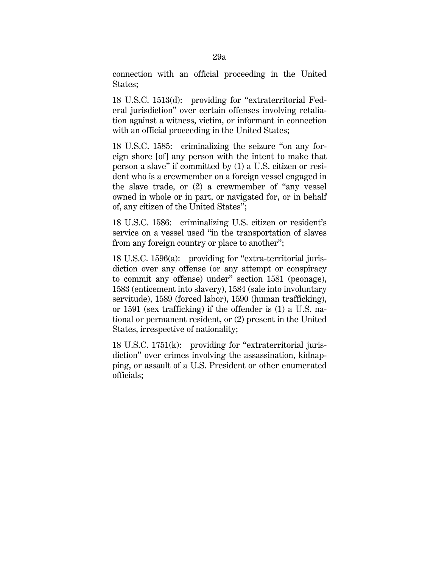connection with an official proceeding in the United States;

18 U.S.C. 1513(d): providing for "extraterritorial Federal jurisdiction" over certain offenses involving retaliation against a witness, victim, or informant in connection with an official proceeding in the United States;

18 U.S.C. 1585: criminalizing the seizure "on any foreign shore [of] any person with the intent to make that person a slave" if committed by (1) a U.S. citizen or resident who is a crewmember on a foreign vessel engaged in the slave trade, or (2) a crewmember of "any vessel owned in whole or in part, or navigated for, or in behalf of, any citizen of the United States";

18 U.S.C. 1586: criminalizing U.S. citizen or resident's service on a vessel used "in the transportation of slaves from any foreign country or place to another";

18 U.S.C. 1596(a): providing for "extra-territorial jurisdiction over any offense (or any attempt or conspiracy to commit any offense) under" section 1581 (peonage), 1583 (enticement into slavery), 1584 (sale into involuntary servitude), 1589 (forced labor), 1590 (human trafficking), or 1591 (sex trafficking) if the offender is (1) a U.S. national or permanent resident, or (2) present in the United States, irrespective of nationality;

18 U.S.C. 1751(k): providing for "extraterritorial jurisdiction" over crimes involving the assassination, kidnapping, or assault of a U.S. President or other enumerated officials;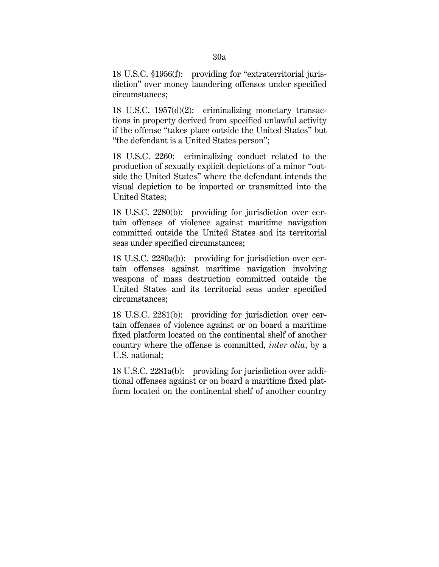18 U.S.C. §1956(f): providing for "extraterritorial jurisdiction" over money laundering offenses under specified circumstances;

18 U.S.C. 1957(d)(2): criminalizing monetary transactions in property derived from specified unlawful activity if the offense "takes place outside the United States" but "the defendant is a United States person";

18 U.S.C. 2260: criminalizing conduct related to the production of sexually explicit depictions of a minor "outside the United States" where the defendant intends the visual depiction to be imported or transmitted into the United States;

18 U.S.C. 2280(b): providing for jurisdiction over certain offenses of violence against maritime navigation committed outside the United States and its territorial seas under specified circumstances;

18 U.S.C. 2280a(b): providing for jurisdiction over certain offenses against maritime navigation involving weapons of mass destruction committed outside the United States and its territorial seas under specified circumstances;

18 U.S.C. 2281(b): providing for jurisdiction over certain offenses of violence against or on board a maritime fixed platform located on the continental shelf of another country where the offense is committed, *inter alia*, by a U.S. national;

18 U.S.C. 2281a(b): providing for jurisdiction over additional offenses against or on board a maritime fixed platform located on the continental shelf of another country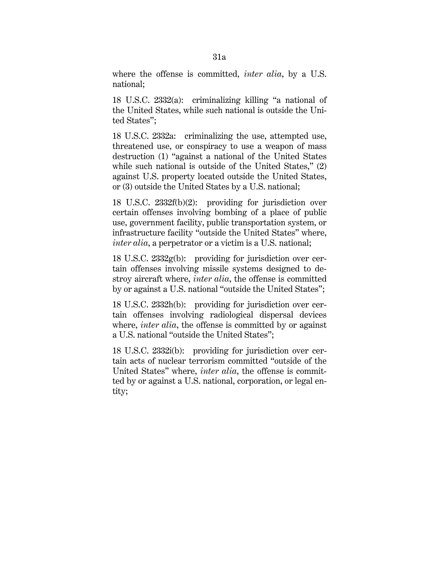where the offense is committed, *inter alia*, by a U.S. national;

18 U.S.C. 2332(a): criminalizing killing "a national of the United States, while such national is outside the United States";

18 U.S.C. 2332a: criminalizing the use, attempted use, threatened use, or conspiracy to use a weapon of mass destruction (1) "against a national of the United States while such national is outside of the United States," (2) against U.S. property located outside the United States, or (3) outside the United States by a U.S. national;

18 U.S.C. 2332f(b)(2): providing for jurisdiction over certain offenses involving bombing of a place of public use, government facility, public transportation system, or infrastructure facility "outside the United States" where, *inter alia*, a perpetrator or a victim is a U.S. national;

18 U.S.C. 2332g(b): providing for jurisdiction over certain offenses involving missile systems designed to destroy aircraft where, *inter alia*, the offense is committed by or against a U.S. national "outside the United States";

18 U.S.C. 2332h(b): providing for jurisdiction over certain offenses involving radiological dispersal devices where, *inter alia*, the offense is committed by or against a U.S. national "outside the United States";

18 U.S.C. 2332i(b): providing for jurisdiction over certain acts of nuclear terrorism committed "outside of the United States" where, *inter alia*, the offense is committed by or against a U.S. national, corporation, or legal entity;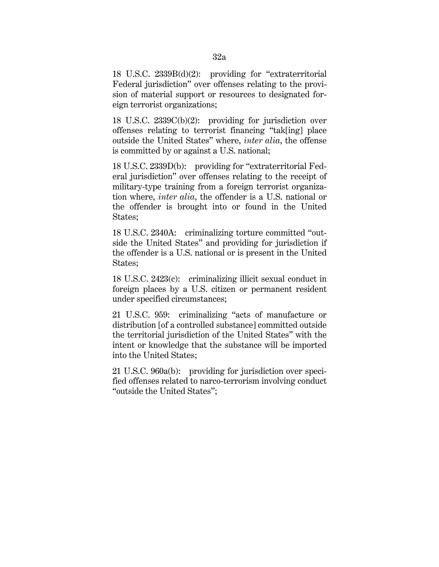18 U.S.C. 2339B(d)(2): providing for "extraterritorial Federal jurisdiction" over offenses relating to the provision of material support or resources to designated foreign terrorist organizations;

18 U.S.C. 2339C(b)(2): providing for jurisdiction over offenses relating to terrorist financing "tak[ing] place outside the United States" where, *inter alia*, the offense is committed by or against a U.S. national;

18 U.S.C. 2339D(b): providing for "extraterritorial Federal jurisdiction" over offenses relating to the receipt of military-type training from a foreign terrorist organization where, *inter alia*, the offender is a U.S. national or the offender is brought into or found in the United States;

18 U.S.C. 2340A: criminalizing torture committed "outside the United States" and providing for jurisdiction if the offender is a U.S. national or is present in the United States;

18 U.S.C. 2423(c): criminalizing illicit sexual conduct in foreign places by a U.S. citizen or permanent resident under specified circumstances;

21 U.S.C. 959: criminalizing "acts of manufacture or distribution [of a controlled substance] committed outside the territorial jurisdiction of the United States" with the intent or knowledge that the substance will be imported into the United States;

21 U.S.C. 960a(b): providing for jurisdiction over specified offenses related to narco-terrorism involving conduct "outside the United States";